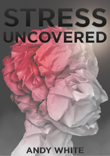# ISS JNCOVERED **ANDY WHITE**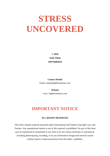# **STRESS UNCOVERED**

**© 2020 Andy White Self-Published**

**Contact Details** Email: andy@biglifesolutions.com

> **Website** www. biglifesolutions.com

# **IMPORTANT NOTICE**

#### **ALL RIGHTS RESERVED.**

This book contains material protected under International and Federal Copyright Laws and Treaties. Any unauthorized reprint or use of this material is prohibited. No part of this book may be reproduced or transmitted in any form or by any means, electronic or mechanical, including photocopying, recording, or by any information storage and retrieval system without express written permission from the author / publisher.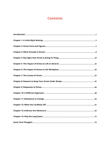# **Contents**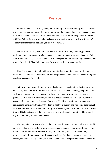# **Preface**

Sat in the Doctor's consulting room, the pain in my limbs was draining, and I could feel myself shivering, even though the room was warm. She took one look at me, placed her pad in front of her and began to scribble something on it. As she wrote, she glanced at me and said "Mr. White, there is absolutely no chance you are going back to work any time soon". Those words marked the beginning of the rest of my life.

But it's a life that may well not have happened but for the love, kindness, patience, understanding, compassion, forgiveness and acceptance of some very special people. Rob, Ivor, Kathy, Paul, Sue, Zoe, Phil - you gave me the space and the scaffolding I needed to haul myself from the pit I had fallen into, and for you all I will be forever grateful.

There is one person, though, without whose utterly unconditional embrace I genuinely don't think I would be sat here today writing this preface to a book that has been forming for nearly two decades: My soulmate.

Kate, you never wavered, even in my darkest moments. As the storm kept coming you stood firm, no matter what it hurled in your direction. Our roles reversed, you provided me with shelter, warmth, love and safety. No longer were you the protected, you were the protector. In a matter of moments, all you had expected when we said "I do" not even a decade before, was cast into disarray. And yet, unflinchingly you found new depths of resilience to mine, new strength with which to hold your family, and you carried me through what was definitely for me, and must surely have been for you, one of the, if not *the,* worst of times. This book is dedicated to you, because you are who made it possible. Quite simply, my love, without you I would not be here.

The simple fact is stress nearly killed me. Sounds dramatic, I know, but it's true. And I count myself as one of the lucky ones, because it could so easily have been different. From relationship and family breakdowns, through to debilitating physical illnesses, and, ultimately, suicide, stress can have devastating effects. But there is a way back when it strikes, and there is a way to limit, even tame completely, it's capacity to wreak havoc in the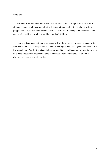first place.

This book is written in remembrance of all those who are no longer with us because of stress, in support of all those grappling with it, in gratitude to all of those who helped me grapple with it myself and not become a stress statistic, and in the hope that maybe even one person will read it and be able to avoid the pit that I fell into.

I don't write as an expert, nor as someone with all the answers. I write as someone with first-hand experience, a perspective, and an unwavering vision to see a generation live the life it was made for. And for that vision to become a reality, a significant part of my mission is to help people recognise, understand, tame and manage stress, so that they can be free to discover, and step into, their best life.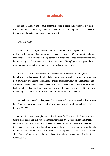# **Introduction**

<span id="page-5-0"></span>My name is Andy White. I am a husband, a father, a leader and a follower. I've been called a pioneer and a visionary, and I am very comfortable knowing that, when it comes to the norm and the status quo, I am a complete misfit.

My background?

Passionate for the arts, and detesting all things routine, I took a psychology and philosophy degree. And then became an accountant. I know, right? I don't quite understand that, either. I spent ten years practicing corporate restructuring at a top-four accounting firm, before moving into the third-sector and, from there, into self-employment – a space I have occupied as a consultant, coach and trainer for the last sixteen years.

Over those years I have worked with clients ranging from those struggling with homelessness, addiction and offending behaviour, through to graduates wondering what to do post-university, professionals looking for a change of direction, start-up entrepreneurs, and well-established businessmen and women. And, to a man and woman, no matter what their background, they had one thing in common: they were beginning to realise that the life they were living was not a good fit for them, but didn't know what to do about it.

But much more than all of that practical experience and expertise – as valuable as it is  $-I$ have *lived* it. I know how the men and women I have worked with felt; or, at least, I had a pretty good idea.

You see, I've been in that place where life does not fit. Where you don't know where to turn to make things better. I've been in that place where stress, guilt, tension and struggle consume you, to the point where the wheels completely fly off, and there is no other option than change. I know what it is to go from the crest of a wave to the bottom of the pit literally overnight. I have been there. Done it. Have the scars to prove it. And I came out the other side. And all of that experience lies at the heart of my vision: a generation living the life it was made for.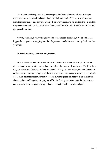I have spent the best part of two decades pursuing that vision through a very simple mission: to unlock vision in others and unleash their potential. Because, when I look out from the mountaintop and survey a world where everyone is living a life that fits – a life that they were made to live – their *best* life – I see a world transformed. And that world is why I get up each morning.

It's why I'm here, now, writing about one of the biggest obstacles, yet also one of the biggest launchpads, for stepping into the life you were made for, and building the future that you want.

#### **And that obstacle, or launchpad, is stress.**

As this conversation unfolds, we'll look at how stress operates – the impact it has on physical and mental health, and the knock-on effect that has on life and work. We'll explore why stress has the effects that it does on mental and physical well-being, and we'll also look at the effect that our own response to the stress we experience has on why stress does what it does. And, perhaps most importantly, we will dive into practical steps you can take in the short, medium and long-term to put yourself in the driving seat, take control of your stress, and convert it from being an enemy and an obstacle, to an ally and a launchpad.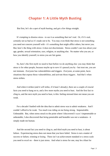# **Chapter 1: A Little Myth Busting**

<span id="page-7-0"></span>But first, let's do a spot of myth busting, and get a few things straight.

It's tempting to dismiss stress - to see it as something that isn't real. Or, if it's real, certainly not as bad as it's made out to be. You may even think that stress is not something you need not concern yourself with - it's something that might afflict others, but never you. But, here's the thing with stress: it does not discriminate. Stress couldn't care less about your age, gender, sexual orientation, race, religion, or anything else. No matter who you are, or how you identify yourself, to stress you are fair game.

So, here's the first myth we need to bust before we do anything else: you may think that stress is for other people, because maybe up to now it's passed you by - but trust me, you are not immune. *Everyone* has vulnerabilities and triggers. *Everyone*, at some point, faces situations that expose those vulnerabilities, and activate those triggers. And that's when stress strikes.

And when it strikes (and it *will* strike, if it hasn't already), there are a couple of crucial facts you need to hang on to, and a few more myths you need to bust. And the first fact to cling to, and the next myth you need to bust, is this: feeling stressed does not mean you are weak.

For a decade I battled with the idea that to admit stress was to admit weakness. And I couldn't afford to be weak. Too much was riding on me being strong. Impenetrable. Unbeatable. But, when stress struck to the point where I discovered I *wasn't* impenetrable or unbeatable, I also discovered that *being* penetrable and beatable was *not* a weakness - it simply made me human.

And the second fact you need to cling to, and third myth you need to bust, is about failure. Experiencing stress does not mean that you have failed. Stress is not a matter of success or failure, winning or losing. There isn't an achievement standard or a stress scale you need to excel on – there is just stress. And what is stress for one, may be a blast for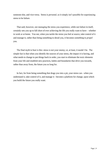someone else, and vice-versa. Stress is *personal*, so it simply isn't possible for experiencing stress to be failure.

That said, however, not *managing* the stress you experience, while not failure in itself, certainly sets you up to fall short of ever achieving the life you really want to have – whether in work or at home. You see, when you tackle the stress you feel at source, take control of it and manage it, rather than being something to derail you, it becomes something to *propel* you.

The final myth to bust is this: stress is not your enemy; or, at least, it needn't be. The simple fact is that when you identify the sources of your stress, the impact it is having, and what needs to change to put things back in order, you start to eliminate the toxic elements from your life and establish new practices, habits and boundaries that drive you towards, rather than away from, the future you so long for.

In fact, far from being something that drags you into a pit, your stress can - when you understand it, take control of it, and manage it - become a platform for change, upon which you build the future you really want.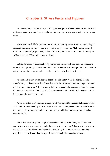# **Chapter 2: Stress Facts and Figures**

<span id="page-9-0"></span>To understand, take control of, and manage stress, you first need to understand the extent of its reach, and the impact that it can have. So, here's some interesting facts, just to set the scene…

This first one will likely come as no surprise. According to the American Psychological Association (the APA), money and work are the biggest stressors. "Tell me something I didn't already know", right? And, to deal with stress, the American Institute of Stress (the AIS) reports that 60% of adults turn to alcohol.

But it gets worse. The Journal of Ageing carried out research that came up with some rather sobering findings. They found that chronic stress – that's stress you just can't seem to get free from – increases your chances of meeting an early demise by 50%!

And remember how we said stress doesn't discriminate? Well, the Mental Health Foundation provide evidence that shows that to be the case when it comes to age, with 60% of 18–24-year-olds *already* feeling stressed about the need to be a success. Stress isn't just the domain of the old and the haggard - that battle weary and scarred - it is the stuff of those just stepping into their prime, too.

And if all of that isn't alarming enough, Study.Com point to research that indicates that 13% of *children* will end up with anxiety disorders as a consequence of stress - that's more than one in 10; or, to put it another way, roughly four children in every secondary school class in the UK.

But, while it is utterly shocking that the school classroom and playground should be somewhere where stress can run amok, the place where stress *really* has a field day is in the workplace. And for 35% of employees in a Korn Ferry Institute study, the stress they experienced at work started at the top, with their boss cited as its primary cause.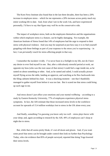The Korn Ferry Institute also found that in the last three decades, there has been a 20% increase in employee stress – which for me represents a 20% increase across pretty much my entire working life to date. And, from what I see in the work I do, and have experienced personally, I'd have to say that figure may well be on the conservative side.

The impact of workplace stress, both on the employees themselves and the organisations within which employee stress is a feature, can be highly damaging. For example, the American Institute of Stress found that 14% of employees had the urge to respond to their stress with physical violence. And you may be surprised at just how easy it is to find yourself grappling with those feelings as part of your response to the stress you're experiencing – in fact, I can *personally* vouch for stress affecting people in that way.

I remember the incident vividly. I've never been in a fistfight in my life, nor do I have any desire to ever find myself in one. But, after a ridiculously stressful period at work, sat opposite my boss (who was the root cause of that stress) I could feel a rage inside me, as he ranted on about something or other. And, as he ranted and railed, I could actually picture myself flying across the table, landing an uppercut, and watching as he flew backwards into the filing cabinets behind his chair. It was a shocking moment – one that I thankfully managed to gather myself from before it was too late. But it scared me that stress could bring up such rage in me.

And stress doesn't just affect your emotions and your mental wellbeing – according to a study by Eastern Kentucky University, 77% of employees experience *physical* stress symptoms. In fact, the AIS estimate that those increased stress levels in the workforce account for upwards of 15.4 million workdays lost to stress in the UK alone every year.

And finally, something I'm guessing you know only too well – stress plays havoc with your sleep; and, again according to research by the AIS, 48% of employees can't sleep at night due to stress.

But, while that all seems pretty bleak, it's not all doom and gloom. And, if you want some proof that stress can be brought under control then look no further than Psychology Today, who cite evidence that 85% of people surveyed, reported that doing Yoga lowered their stress levels.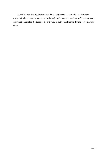So, while stress is a big deal and can have a big impact, as those few statistics and research findings demonstrate, it *can* be brought under control. And, as we'll explore as this conversation unfolds, Yoga is not the *only* way to put yourself in the driving seat with your stress.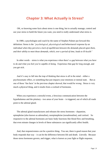# **Chapter 3: What Actually is Stress?**

<span id="page-12-0"></span>OK, so knowing some facts about stress is one thing, but to actually manage, control and use your stress to build the future you want, you need to really understand what stress is.

In 1989, a psychologist and coach by the name of Stephen Palmer put forward this definition: Stress is the *"psychological, physiological and behavioural response by an individual when they perceive a lack of equilibrium between the demands placed upon them, and their ability to meet those demands, which, over a period of time, leads to ill-health"*

In other words – stress is what you experience when there's a gap between what you *have* to do and what you feel you're capable of doing. Experience that gap for long enough, and you get sick.

And it's easy to fall into the trap of thinking that stress is all in the mind – either a psychosomatic effect, or something that just impacts your emotions or mental state. But as one of those 'fun facts' in the previous chapter showed, that would be wrong. Stress is very much a *physical* thing, and it results from a cocktail of hormones.

When you experience a stressful event, a ferocious communication between the hypothalamus and the pituitary - two areas of your brain – is triggered, out of which all roads point to the adrenal gland.

The adrenal gland manufactures and releases the stress hormones - dopamine, epinephrine (also known as adrenaline), norepinephrine (noradrenaline), and cortisol. So responsive to the adrenal hormones are basic body functions like blood flow and breathing, that even minute changes in levels of these substances can significantly affect health.

And, that responsiveness *can* be a positive thing. You see, there is good reason that your body responds that way – it can be the difference between life and death. *Literally*. Because those stress hormones govern, and trigger, what is known as your fight or flight response,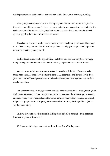which prepares your body to either stay and deal with a threat, or to run away to safety.

When you perceive threat – back in the day maybe a bear or a sabre-toothed tiger, but these days more likely your angry boss - your sympathetic nervous system is activated by the sudden release of hormones. The sympathetic nervous system then stimulates the adrenal gland, triggering the release of the stress hormones.

This chain of reactions results in an increase in heart rate, blood pressure, and breathing rate. The resulting alertness that all that brings about can help you simply avoid unpleasant outcomes, or actually save your life.

So, like I said, stress *can* be a good thing. But stress can also be a very bad, very ugly thing, leading to a sense of a loss of control, despair, helplessness and serious illness.

You see, your body's stress-response system is usually self-limiting. Once a perceived threat has passed, hormone levels return to normal. As adrenaline and cortisol levels drop, your heart rate and blood pressure return to baseline levels, and other systems resume their regular activities.

But, when stressors are always present, and you constantly feel under attack, that fight-orflight reaction stays turned on. And, the long-term activation of the stress-response system, and the overexposure to cortisol and other stress hormones that follows, can disrupt almost *all* your body's processes. This puts you at increased risk of many health problems (which we'll explore later).

So, how do you know when stress is shifting from helpful to harmful – from potential life*saver* to potential life-*taker*?

Well, you spot the signs, and next, we'll explore a few of the key ones.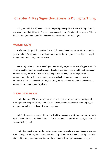# <span id="page-14-0"></span>**Chapter 4: Key Signs that Stress is Doing its Thing**

The good news is that, when it comes to spotting the signs that stress is doing its thing, it's actually not that difficult. You see, stress generally doesn't hide in the shadows. When it does its thing, you know, not least because of some common tell-tale signs.

#### **WEIGHT GAIN**

And one such sign is fluctuations (particularly unexplained or unexpected increases) in your weight. When you get stressed across a prolonged period, you can easily gain weight without any immediately obvious reason.

Perversely, when you are stressed, you may actually experience a loss of appetite, which you'd expect to cause you to eat less and, therefore, potentially *lose* weight. But, increased cortisol drives your insulin levels up, your sugar levels down, and, while you have no particular appetite for food in general, you sure as heck *do* have an appetite - make that craving- for fatty and sugary food. So, what may once have been an apple now becomes a doughnut. And so the pounds pile on.

#### **SLEEP DISRUPTION**

And, like those 48% of employees who can't sleep at night can confirm, tossing and turning in bed, sleeping fitfully and restlessly at best, may be another early warning signal that your stress levels are becoming unmanageable.

Why? Because if you are in the fight or flight response, the last thing your body wants to do is sleep in the face of potential danger. So, at best you sleep in fits and starts, and at worst you don't sleep at all.

And, of course, therein lies the beginnings of a vicious cycle: you can't sleep, so you get tired. You get tired, so your performance levels dip. Your performance levels dip and stuff starts taking longer, and not working out like you planned. And, as a consequence, your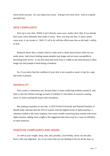stress levels increase. So, you sleep even worse. And get even more tired. And so it spirals downhill fast.

#### **SKIN COMPLAINTS**

Next up is your skin. While it can't directly cause acne, studies show that, if you already have acne, stress definitely does make it worse. Now, you may ask how, if stress cannot cause acne, it can worsen it. Well, it's all to do with the effect stress has on the body's ability to heal.

Research shows that a wound, which is what acne is, heals much slower when you are under stress. And slower healing means pimples stay longer and are more susceptible to becoming more severe. It can also mean that more acne is visible at one time because it takes longer for each pimple to heal during a breakout.

So, if you notice that the condition of your skin is not as good as usual, it may be a sign that stress is present.

#### **INFERTILITY**

Next comes a contentious one, because there is some conflicting evidence around it, and there is also the chicken and egg scenario of whether it's the failure to conceive causing stress, or stress causing the issues with conception.

But, putting contention to one side, A 2010 Oxford University and National Institute of Health study indicates that the 25% of women with the highest levels of alpha-amylase, a substance linked to the stress response, have more trouble conceiving than women with lower alpha-amylase, adding *some* weight to the suggestion that stress *may* be a cause of infertility in some instances.

#### **DIGESTIVE COMPLAINTS AND ISSUES**

As well as your weight, sleep, skin, and, possibly, your fertility, stress can also play havoc with your digestion. So, if you notice that you are dashing to the loo all the time, or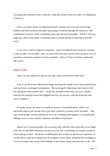even going days between visits, it may be a sign that chronic stress has crept, or is beginning to creep, in.

Stress can lead to delays in emptying stomach contents, but it can also increase gut motility and fluid secretion, and speed up passage of material through the intestines. This combination of activity leads to abdominal pain and altered bowel habits. Which is why you might get a bout of diarrhoea, or repeated urges to urinate during or following a stressful event.

If you have a specific digestive complaint - such as Irritable Bowel Syndrome, an ulcer, or gastric reflux, for example - then you may well notice that as your stress increases, so you experience increased symptoms of your complaint. And you'll know just how unpleasant that can be.

#### **HAIR LOSS**

Stress can also impact the state of your hair, and it can do that in three ways.

First, it can drive hair follicles (the things that keep the strands of your hair anchored into your skin) into a prolonged resting phase. That prolonged resting phase then results in the hair falling out some months later - a delay that probably means that you won't initially associate the stressful events that triggered the hair loss process, with the actual hair loss when it happens.

Secondly, stress can result in a condition known as Trichotillomania, which is an irresistible urge to pull out hair from your head, eyebrows, or pretty much anywhere. That may sound strange, but hair pulling can be a way of dealing with negative or uncomfortable feelings, such as stress, tension, loneliness, boredom or frustration.

Maybe you've noticed people who nervously play with their hair when they are on edge? Well, this second effect that stress can have on your hair is essentially an extreme version of what is going on there. The person twiddling their hair as they try and answer a question, or try and take in some new instructions, for example, is most likely using that hair twiddling as a way of trying to stay on top of the feelings of uncertainty about what they have to do. The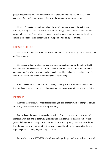person experiencing Trichotillomania has taken the twiddling up a few notches, and is actually *pulling hair out* as a way to deal with the stress they are experiencing.

Thirdly, Alopecia – a condition where the body's immune system attacks the hair follicles, causing hair loss – can arise from stress. And, just like with sleep, this can be a nasty vicious cycle. Stress triggers Alopecia, which results in hair loss; and the hair loss causes more stress, which exacerbates the Alopecia. And so it goes around.

#### **LOSS OF LIBIDO**

The effect of stress can also make its way into the bedroom, which goes back to the fight or flight response.

The release of high levels of cortisol and epinephrine, triggered by the fight or flight response, can cause decreased sex drive. Stands to reason when you think about it in the context of staying alive - when the body is on alert to either fight a perceived threat, or flee from it, it's in survival mode, not thinking about reproducing.

And, when stress becomes chronic, the body actually uses sex hormones to meet the increased demands for higher cortisol production, decreasing your interest in sex yet further.

#### **FATIGUE**

And then there's fatigue - that chronic feeling of lack of motivation or energy. Not just an off-day here and there, but an off-day every day.

Fatigue is not the same as physical exhaustion. Physical exhaustion is the result of something you did, and is generally gone after you take the time to sleep or rest. When you're feeling tired and sleep or rest does not take that feeling away, you *may* be suffering from fatigue that is arising from the stress you feel, and the strain that a perpetual fight or flight response is having on your body and mind.

I remember back in 1999/2000 when I was under prolonged and sustained stress at work,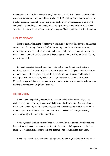no matter how much I slept, or tried to rest, I was *always* tired. But it wasn't a sleepy kind of tired, it was a wading through quicksand kind of tired. Everything felt like an extreme effort. I had no energy, no motivation. It was a matter of sheer bloody-mindedness to go to work and get through each day. That feeling of waking up at least as tired and drained as when I went to bed, I discovered some time later, was fatigue. Maybe you know how that feels, too.

#### **HEART DISEASE**

Some of the physical signs of stress we've explored so far would go down as being more annoying and distressing, than actually life threatening. Hair loss and acne can be very distressing for the person suffering with it, and loss of libido may be annoying for either or both partners in a relationship, but none of those things are likely to kill you. Heart disease, on the other hand...

Research published in The Lancet showed how stress may be linked to heart and circulatory disease in humans. Constant stress has been linked to higher activity in an area of the brain connected with processing emotions, and, in turn, an increased likelihood of developing heart and circulatory disease. Indeed, researchers in a study from Harvard University suggested that when it comes to your cardiac health, stress could be as important a risk factor as smoking or high blood pressure.

#### **DEPRESSION**

By now, you are probably getting the idea that stress is far from trivial and, just as packets of cigarettes have to, should most likely carry a health warning. But heart disease is not the only potentially life threatening effect of stress, because stress can have a profound impact on your mental health; and, in extreme cases, even lead to that impact causing a person suffering with it to take their own life.

You see, sustained stress not only leads to increased levels of cortisol, but also reduced levels of serotonin and other neurotransmitters in the brain, including dopamine. And the absence, or reduced levels, of serotonin and dopamine has been linked to depression.

When these chemical systems are working normally, they regulate biological processes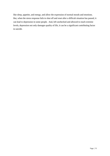like sleep, appetite, and energy, and allow the expression of normal moods and emotions. But, when the stress response fails to shut off and reset after a difficult situation has passed, it can lead to depression in some people. And, left unchecked and allowed to reach extreme levels, depression not only damages quality of life, it can be a significant contributing factor in suicide.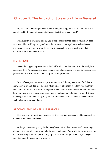# <span id="page-20-0"></span>**Chapter 5: The Impact of Stress on Life in General**

So, it's not too hard to spot when stress is doing its thing, but what do all those stresssignals lead to if you don't respond to them and get stress under control?

Well, apart from when it's helping you evade a sabre-toothed tiger or your angry boss, which would most likely be a *good* thing, the result of unmanaged, untamed and everincreasing levels of stress in your day-to-day life is usually a trail of destruction that can manifest itself in a number of ways.

#### **NUTRITION**

One of the biggest impacts on an individual level, rather than specific to the workplace, is on your diet. As stress puts in an appearance through one door, your self-care around what you eat and drink can make a pretty sharp exit through another.

Stress affects your motivation, saps your energy, and draws you towards food that is easy, convenient and 'feel-good', all of which tends to also mean 'bad for you'. And they aren't just bad for you in terms of piling on the pounds (think back to how we said that stress hormones lead you into sugar cravings). Sugary foods are not only linked to simple things like weight gain and tooth decay, they are also linked with serious ailments and conditions such as heart disease and diabetes.

#### **ALCOHOL AND OTHER SUBSTANCES**

This next one will most likely come as no great surprise: stress can lead to increased use of alcohol and other substances.

Prolonged stress can quickly lead to one glass of wine a few times a week becoming a glass of wine a day, becoming half a bottle a day, and more. And while it may not cause you to *start* smoking in the first place, it may tip you back into it if you have quit, or see you smoking more if you are already a smoker.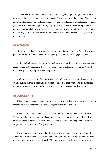The reason? Your body wants the stress to go away, and a quick fix (albeit very shortterm and full of other unfavourable consequences) is to drink or smoke it away. The problem is, though, that the knock-on effects of increased use of, and reliance on, substances - a dip in your health and well-being, your ability to perform at a high level disappearing, and even relationship issues bubbling to the surface, for example - cause your stress levels to increase, not subside, and the problem escalates. More stress leads to more substance use, leads to more stress, and so on.

#### **PERCEPTION**

Stress can also throw your whole perception of reality out of whack. And, when your perception is out of whack, the world can quickly become a very strange place, indeed.

Little niggles become huge issues. A small mistake at work becomes a catastrophe and a reason to quit or be fired. And those words of encouragement from your friend? Well, they didn't really mean it, they were just being nice.

And, as your perception of reality, yourself and others becomes distorted, so a vicious cycle resulting in ever-increasing distortions begins. And, guess what? As the distortions increase, so does your stress. Which in turn, of course, increases those distortions.

#### **RELATIONSHIPS**

When it comes to your relationships, the impact of over-using substances in an attempt to manage your own stress is not the only damaging effect stress can have.

When you are stressed, you can find yourself withdrawing and pushing others away. Your temper is short, your patience is non-existent, every request becomes a demand, and every observation becomes an accusation. People who reach out to help are viewed with suspicion, or seen as an interfering irritation.

But, the more you withdraw and push people away, the more your relationships suffer. The more your relationships suffer, the more stress you feel, as your support network seems more and more remote and out of reach. The more stress you feel, the more you withdraw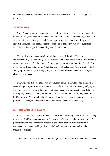and push people away, and so the more your relationships suffer, and, well, you get the picture.

#### **MOTIVATION**

Now, I'm no expert on the outdoors, and I definitely have no first-hand experience of quicksand. But, from what I have read, what I do know is this: the more you fight against it when you find yourself in quicksand, the more you sink into it, so the best thing to do is just stay still. And, for some people, stress becomes akin to their very own pit of quicksand. Don't fight it, just stay still. Do nothing, and it'll all be OK.

The problem with that approach though, is that stress thrives in a 'do-nothing' environment. I get the reasoning: you are stressed and you feel pretty rubbish. Everything is going wrong and you feel like you are failing at pretty much everything. So, if you don't set goals you can't fail, and if you can't fail then you won't feel so bad. And, after all, setting and trying to achieve a goal is only going to pile on more pressure and stress, which you absolutely *don't* need.

But, when you don't set goals, you give yourself nothing to aim for. You eliminate a sense of hope or optimism for the future, and you take away a sense of meaning and purpose from your daily life. And, without hope, optimism, meaning or purpose, the world starts to look a pretty bleak place, and your motivation to even *maintain* the status quo, never mind build a future you'd love to live in, disappears. Your levels of engagement drop, as do your performance levels, and the temptation to simply throw the towel in looms large.

#### **SUICIDE AND SELF-HARM**

At the absolute extreme, stress can be a significant contributing factor to suicide. Among more than 67,000 students surveyed by Brigham and Women's Hospital in Boston, over 20 percent said they had experienced stressful events in the last year that were strongly associated with mental health problems, including harming themselves and suicidal thoughts or attempts.

Now, while stress may not be the underlying reason – that stress may arise from financial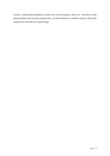worries, a relationship breakdown, anxiety over future prospects, and so on – the effect on the mind and body that the stress response has, can lead someone to consider suicide as their only escape from what they are experiencing.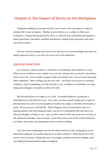# <span id="page-24-0"></span>**Chapter 6: The Impact of Stress on the Workplace**

Alongside meddling in your personal life, one of stress's favourite places to make its presence felt is your workplace. Whether you are the boss, or a worker, or both, your workplace is a happy hunting ground for stress, as, allowed to go unchecked and untamed, it feeds expectations, discontent, problems and division, turning minor grievances and issues into full-on conflict.

And one of the first things stress loves to do, and one of its most seemingly innocuous yet deeply destructive tactics, is to rob you of any sort of job satisfaction.

#### **JOB DISATISFACTION**

For a business, and its workforce, to perform at full potential, job satisfaction is vital. When you are satisfied at work, whether you work for someone else or yourself, you perform well in your role. You are better company inside and outside work. You are more motivated. More committed. More willing to go the extra mile. And when you are part of a satisfied workforce, work is something you look forward to, your workplace is somewhere you enjoy being, and colleagues are people you like to be with.

But job satisfaction is as fragile as it is vital. A satisfied employee can become a dissatisfied one in the blink of an eye. And, when you find yourself caught up in a spiral of job dissatisfaction, what was an enjoyable (or maybe even simply a tolerable) job becomes a grind. All you can see is the bad bits. When things go well, you brush them aside as a passing moment, and when things go badly, you see it as confirmation that your job is not what you thought, or hoped, it was. And, as with so much of the way stress loves to work, as job satisfaction dwindles, stress increases, which drives down your levels of job satisfaction yet further, and causes your performance levels to keep on falling.

And, just as one rotting apple can ruin the whole barrel (or so the saying goes), so one dissatisfied employee can quickly drag down an entire workforce. What flowed out of one person's stress becomes widespread; and a once happy workplace becomes unhappy, and a once high performing business begins to languish.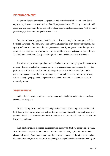#### **DISENGAGEMENT**

As job satisfaction disappears, engagement and commitment follow suit. You don't enjoy your job as much as you used to, if at all, so you withdraw. You stop chipping in with ideas, you step back from the banter, and you keep quiet at the team meetings. And, the more you disengage, the more your performance drops.

Sometimes that disengagement and drop in performance may be because you can't be bothered any more. And sometimes you're trying harder than ever, desperately fighting the apathy and loss of commitment, but you just seem to be off your game. Your thoughts are jumbled, you can't process information like you used to, and you just seem to forget things. You feel permanently on edge, just waiting for the next mistake or piece of bad news.

But, either way - whether you just can't be bothered, or you are trying harder than ever to no avail - the net effect is the same: as employee engagement and performance dips, so the performance of the business dips, too. As the performance of the business dips, so the pressure ramps up and, as the pressure ramps up, so stress increases across the workforce, further damaging engagement and performance levels. Yet another vicious cycle set in motion by stress.

#### **ABSENTEEISM**

With reduced engagement, lower performance and a declining satisfaction at work, so absenteeism creeps in.

Stress is taking its toll, and the real and perceived effects it's having on your mind and body lead to those times when you just can't do it. The mere thought of being at work fills you with dread. You can sense your heart rate increase and your hands begin to feel clammy. So you stay at home.

And, as absenteeism increases, the pressure on those who *do* show up for work mounts, as it falls to them to pick up the slack and do not only their own job, but the jobs of their absent colleagues. And, you guessed it, as the pressure increases, so does the stress; and as the stress increases, so more and more people begin to experience those morning feelings of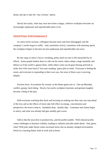dread, and opt to take the 'stay at home' option.

Slowly but surely, what may once have been a happy, cohesive workplace becomes an increasingly unpleasant and unpredictable place to be.

#### **DROPPING PERFORMANCE**

As stress levels increase, colleagues become more and more disengaged, and the company's results begin to suffer. And, sometimes slowly, sometimes with alarming speed, the workplace begins to become not just unpleasant and unpredictable, but toxic.

By this stage in stress's havoc-wreaking, pretty much no-one is left untouched by its effects. Some people hunker down to ride out the storm, others adopt a siege mentality and behave as if the world is against them, while others come out all guns blazing and look to strike first with some kind of 'last man standing' game-plan in mind. Everyone is feeling the strain, and everyone is responding in their own way, but *none* of those ways is proving helpful.

Factions form. Accusations fly around, as the blame-game sets in. One-up-Manship, conflict, gossip, back-biting. Slowly, but surely workplace harmony and genuine laughter become a thing of the past.

With everyone watching their back and focusing on making sure they stay one step ahead of the rest, and as the effects of stress take full effect on energy, concentration and perspective, the errors creep in. Standards drop. Quality dips. Customers and clients begin to notice, and what was already bad gets steadily gets worse.

Add to that the nose-dive in productivity, and the profits tumble. With reduced profits comes challenges to business viability, leading to cutbacks and jobs under threat. And, guess what? With jobs under threat comes increased stress into an already charged environment. Petrol on a burning flame, both at work *and* at home.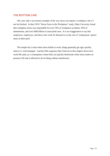#### **THE BOTTOM LINE**

OK, sure, that's an extreme example of the way stress can impact a workplace, but it's not far-fetched. In their 2018 "Stress Facts in the Workplace" study, Duke University found that workplace stress was responsible for over 70% of workplace accidents, 50% of absenteeism, and over \$300 billion in associated costs. It is no exaggeration to say that employers, employees, and those who work for themselves in the role of 'solopreneur' ignore stress at their peril.

The simple fact is that when stress builds at work, things generally get ugly quickly, unless it's well managed. And the little sequence that I laid out in this chapter shows how work-life (and, as a consequence, home-life) can quickly deteriorate when stress makes its presence felt and is allowed to do its thing without interference.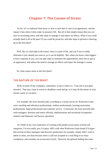# **Chapter 7: The Causes of Stress**

<span id="page-28-0"></span>So far, we've explored what stress is, how to spot that it's put in an appearance, and the impact it has when it does make its presence felt. But all of that simply means that you can react to increasing stress, and take steps to manage it and reduce its effects. What if you could actually head it off at the pass? If you could be proactive, and take steps to prevent it showing up in the first place?

Well, like we said right at the outset, stress is a part of life, and you'll never totally eliminate it (nor should you want to, as it *can* be helpful). But, when you know what triggers a stress response in you, you can take steps to minimise the opportunities stress has to put in an appearance, and reduce the need to manage its effects and repair the damage it causes.

So, what causes stress in the first place?

#### **THE NATURE OF THE BEAST**

Well, in terms of the workplace, sometimes, it just is what it is. Your job is just plain stressful. That may come in waves as deadlines come and go, or it may be the nature of your chosen career or vocation.

For example, the most stressful jobs, according to a recent survey by Workwear Giant, were: teaching and education professionals, welfare professionals, housing association professionals, legal professionals and customer service. Conversely, the *least* stressful jobs were managers, directors and senior officials, administration and secretarial occupations, cleaners and labourers, and factory operatives.

As I think of my own experience of working with people across many of those job categories, I'm not totally sure I'd agree 100% with what Workwear Giant found (I'd argue that several of those managers and directors questioned, for example, simply didn't want to admit to stress, not least because stress is still not accepted as a real thing in so many workplaces, and certainly not at executive level). However, the general finding that some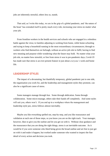jobs are inherently stressful, others less so, stands.

That said, as I write this today, we are in the grip of a global pandemic, and 'the nature of the beast' has extended itself to pretty much *every* role, increasing your stress no matter what your job.

From frontline workers in the health services and schools who are engaged in a relentless battle against the virus; to families adjusting to working from home, while home-schooling and trying to keep a household running in the most extraordinary circumstances; through to workers who find themselves on furlough, without an active job role to fulfil, having to find new meaning and purpose while wondering what the future may hold. No matter what your job role, no matter how stressful, or free from stress it was in pre-pandemic days, Covid-19 has made sure that stress is an ever-present feature in just about *everyone's* work *and* home life.

#### **LEADERSHIP STYLES**

The impact of a devastating, but thankfully temporary, global pandemic put to one side, the organisation you work for, and the leadership and management styles they promote, can also be a significant cause of stress.

Some managers manage through fear. Some through abdication. Some through collaboration. Some micro-manage, others take their hands off completely. And some styles will suit you, others won't. If you end up in a workplace where the management and leadership style jars, stress follows almost inevitably.

Maybe you like everything spelled out, step-by-step, and you like reassurance and validation at each one of those steps, so you know you are on the right track. Your manager, however, likes to give you the outline and let you get on with it. Without clear guidance and the reassurance that you are doing the right things, stress is an inevitable outcome. As it would be if you were someone who liked being given the broad outline and set free to just get on with it and make it happen, but worked under someone who wanted to inspect the fine detail of every action and decision you took.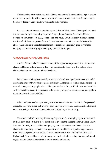Understanding what makes you tick and how you operate is key to taking steps to ensure that the environment in which you work is not an automatic source of stress for you, simply because it does not align with how you like to fulfil your role.

Just as a point of interest, Glassdoor reported that, in 2020, the top 10 companies to work for, as voted for by their employees, were: Google, Equal Experts, Salesforce, Hiscox, Softcat, Abcam, Microsoft, SAP, Topps Tiles, and Arup. But, I can pretty much guarantee, that in each of those companies there will be at least one or two for whom the leadership styles jar, and stress is a constant companion. Remember: a generally great to work for company is not necessarily a great company to work for, *for you*.

#### **ORGANISATIONAL CULTURE**

Another factor can be the overall culture, of the organisation you work for. A culture of shame and blame, or long hours, or fear, will contribute to stress; as will a culture where skills and talents are not nurtured and developed.

I recall some advice given to me by a manager when I was a graduate trainee at a global accounting firm: "Always have someone to blame". At the time it felt like sound advice - I'd seen what happened to people who couldn't pass the buck. But, as I look back on that advice, with the benefit of nearly three decades of hindsight, I see just how toxic it was, and just how much stress was inherent within it.

I also vividly remember my first day at that same firm. Sat in a room full of eager-eyed graduates, the world at our feet, we were each passed a prospectus. Emblazoned on the front cover was a slogan that would come to be a stick I beat myself with daily.

The words read "Consistently Exceeding Expectations". A rallying cry, or so it seemed in those early days. A call to blow our clients away with the amazing feats we would achieve for them. In reality it was neither a rallying cry nor a call to wow our clients. It was a statement that nothing - no matter how great it was - would ever be good enough, because each time an expectation was exceeded, the expectation bar was simply raised to an even higher level. You could never win in that game. A decade after reading that slogan I found myself side-lined for 18 months by a severe episode of burnout.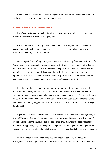When it comes to stress, the culture an organisation promotes will never be neutral  $-$  it will *always* do one of two things: feed, or starve stress

#### **ORGANISATIONAL STRUCTURE**

But it's not just organisational culture that can be a cause (or, indeed a cure) of stress organisational structure has its part to play, too.

A structure that is heavily top down, where there is little scope for advancement, can cause discontent, disillusionment and stress; as can a flat structure where there are unclear lines of responsibility and accountability.

I recall a period of working in the public sector, and witnessing first-hand the impact of a 'dead-man's shoes' approach to career advancement. It was in stark contrast to the dog-eatdog, every man for himself culture of the accountancy firm I'd worked for. There was no doubting the commitment and dedication of the staff - the term 'Public *Servant*' was epitomised by how the vast majority tackled their responsibilities. But never had I before, and never have I since, encountered a workplace with less career aspiration.

Even those on the leadership programmes knew that room for them to rise through the ranks was not created, it was vacated. And, more often than not, vacation of a role into which they could advance would only come when the incumbent retired. As that reality sank in, so aspiration faded. And, without aspiration, what started out a passion became a chore; and the stress of being trapped in a situation that was outside their ability to influence began to take hold.

A period of working in the charitable sector revealed to me the other extreme (although, it should be noted that not all charitable organisations operate this way, nor is this mode of operation limited to the charitable sector - there are a great many private-sector businesses that take this approach, too). In the spirit of 'empowerment and equality', the organisation I was contracting for had adopted a flat structure, with just one role sat above a line of 'equals'.

Everyone reported to one man (who was very much an advocate of 'hands-off' management). And everyone was on the same level. Except they weren't. How could they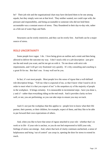be? Their job role and the organisational chart may have declared them to be one among equals, but they simply were not at that level. They neither wanted, nor could cope with, the pressure and responsibility, and being accountable to someone who did not *hold* them accountable was a constant source of stress. They floundered in their day-to-day role, rather as a fish out of water flaps and flails.

Structures can be overly restrictive, and they can be overly free. And both can be a major source of stress.

#### **ROLE UNCERTAINTY**

Some people love vague. I do. I love being given an outline and a remit and then being allowed to deliver the outcome my way. I don't need a title or a job description - just give me the end result you want, and let me get on with it. Tie me down with strict role requirements, and I will get very frustrated very quickly. It's why consulting and coaching is a great fit for me. But that's me. It may well not be you.

In fact, it's not most people. Most people love the sense of rigour that a well-defined role description brings. "Tell me what is expected of me, so that I know what I need to *do* in order to meet what it is that you expect of me" is the unspoken cry of the majority of people in the workplace. It brings certainty. It is measurable in incremental steps - have you done x, y and z? - rather than everything riding on the end result. And it provides clarity on how well, or not, you are performing, so you can take steps to ensure you stay on track.

And it's not just the workplace that this applies to - people love to know what their life partner, their parents, or their children, for example, expect of them, and they like to be able to put forward their own expectations of others.

And, when you like to have that sense of rigour attached to your role - whether that's in work or in life - if your role is unclear, or you do not feel empowered to fulfil your role, feelings of stress can emerge. And, where that lack of clarity continues unchecked, a sense of helplessness and being 'out of control' can creep in, opening the door for stress to extend its reach.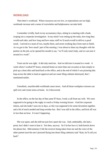#### **WORKLOAD**

Then there's workload. Where resources are too low, or expectations are too high, workloads increase and a sense of overwhelm and helplessness can take hold.

I remember vividly, back in my accountancy days, sitting in a meeting with a bank, scoping out a corporate investigation. In my mind I was totting up the tasks, how long they would each take, and how long and how many staff we'd need overall to deliver a good result. I arrived at a team of two, maybe three, and seven working days from start to finish. As we got to the 'how much' part of the meeting, I was about to share my thoughts with the partner on the job, as he opened his mouth to say, "we'll only need Andy, and we can turn it around in a week".

Turns out he was right. It did only need me. And we did turn it around in a week. A week where I worked 97 hours, returned home on more than one occasion at 2am simply to pick up a clean shirt and head back to the office, and at the end of which I was picturing that leap across the table to land an uppercut and see some filing cabinets destroyed, that I mentioned earlier.

Unrealistic, unachievable workloads cause stress. And all those workplace stresses can spill over and create stress at home. As I discovered.

In the office, on the last day of that same 97-hour, I took a call from my wife. We were supposed to be going to the rugby to watch a Friday evening fixture. I had the corporate tickets, and she hadn't seen me in days, so this was supposed to be some downtime together, and a bit of much needed and long overdue fun. But I was still in the office, and kick off was in less than an hour. It wasn't happening.

She was upset, and she told me just how upset she was. And, undeniably, she had a point, but I didn't want to hear it. Not then, anyway. So I let her have it, both barrels down the phone line. Mid-sentence I felt the receiver being taken from me and the voice of the other partner (not the one I pictured flying into those filing cabinets) said "Kate, he'll call you back".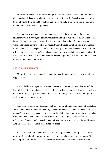I was frog-marched into his office and given a proper 'father-son style' dressing down. Once reprimanded and set straight over my treatment of my wife, I was instructed to call her back, tell her to dress up and be ready in an hour, as he and *his* wife would be picking us up to take us out for a meal, no arguments.

That partner, who I have very fond memories of, may have averted a crisis in my relationship with my wife, and certainly taught me a thing or two on keeping work out of the home. But, while it's not an excuse, it is a simple *fact,* that without that unreasonable workload I would not have worked 97-hours straight, I would have held onto a much more rational and level-headed perspective and, most likely I would not have taken that call in the office from Kate - because we'd have been enjoying a bite to eat before the match kicked off. Sure, I would not have learned the lesson the partner taught me, but nor would I have needed to (not in that moment, anyway).

#### **MAJOR LIFE EVENTS**

Major life events – even ones that should be cause for celebration - can be a significant trigger for stress.

Births, deaths, marriages, divorces and break-ups, house moves, redundancies and the like, all disrupt the normal patterns of your life. They throw up new challenges, they ask new questions of you. They present an unknown. And, in doing so, they activate that fight or flight response and let stress in.

A new arrival bursts onto the scene (and we could be talking puppy, here, not just babies) and suddenly there is a new responsibility, a new routine (such as there can be with babies or puppies), new pressures. As much joy as a gurgling baby or cute puppy may bring, they also bring with them a whole host of stress triggers. Sleepless nights lead to tiredness and exhaustion. Tiredness and exhaustion lead to frustrations, distorted perspective and friction. And all of that leads to, and is exacerbated by, stress.

At the other end of the emotional spectrum, losing a loved one, your job, a relationship, or hitting financial problems, are far more cause for commiseration than celebration. But their impact is not limited to a sense of sadness or despondency. Bereavement (which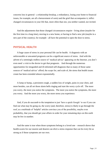concerns loss in general - a relationship breakup, a redundancy, losing your home to financial issues, for example, are all a bereavement of sorts) and the grief that accompanies it, inflict changed circumstances in your life that, more often than not, you neither wanted, nor invited.

And the adjustments that those changed circumstances require - living alone (maybe for the first time in a long time), moving to a new home, or having to find a new job (maybe in a new part of the country), for example - all have the potential to open the door to stress.

#### **PHYSICAL HEALTH**

A huge cause of stress in your personal life can be health. A diagnosis with an unfavourable or unwanted prognosis can be a significant source of stress. And with the advent of a seemingly endless source of 'medical advice' appearing on the Internet, you don't even need a visit to the doctor to get that prognosis. And through the numerous opportunities for misguided and ill-informed self-diagnosis that so many of those same sources of 'medical advice' afford, the scope for, and scale of, the stress that health issues create has been extended almost exponentially.

A lump or bump, a persistent cough, a sudden loss of weight, pains in your chest, and more besides, can all set those alarm bells ringing and start the worry cycle off. The more you worry, the more you notice the symptoms. The more you notice the symptoms, the more you worry. And the more you worry, the more stress you experience.

And, if you *do* succumb to the temptation to just 'have a quick Google' to see if you can find out what may be going on, the worry (and, therefore, stress) is likely to go through the roof, as a multitude of 'helpful' articles convince you of the possibility, maybe even probability, that you should get your affairs in order for your remaining days on this earth may be few in number.

And the same is true when those symptoms belong to a loved one – research shows that health-scares for our nearest and dearest can elicit a stress response that can be every bit as strong as if those symptoms are our own.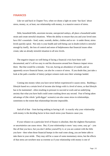#### **FINANCES**

Like we said back in Chapter Two, when we shone a light on some 'fun facts' about stress, money, or, at least, our relationship with money, is a massive source of stress.

Debt, household bills, uncertain income, unexpected outlays, all place a household under strain and create stressful situations. When the ability to ensure that you and your loved ones have life's essentials - food, water, warmth, shelter, clothes and so on - is under threat, stress levels quickly spiral. Not only is your health and well-being cast in doubt (which is stressful enough by itself), the loss of control and sense of helplessness that financial issues often create, take an already stressful situation to all new levels.

The negative impact on well-being of facing a financial *crisis* have been well documented, and it's all too easy to end the discussion around how finances impact stress there. But that would be a mistake. You see, having an *abundance* of wealth, and an apparently *secure* financial future, can also be a source of stress. If you doubt that, just take a look at the path a number of lottery jackpot winners took once their winnings landed.

Coming into money when you have never before experienced it causes stress. Building a lifestyle based on a certain level of income also brings with it a level of stress, as that lifestyle has to be maintained - often resulting in pressure to succeed at work and an underlying anxiety that what you have built could come crashing down any second. Fear of being taken advantage of (the whole 'gold-digger' scenario) can also cause stress in relationships, sometimes to the extent that relationships become impossible.

And *all* of that – from having nothing to having it all - is exactly why your *relationship* with money is the deciding factor in how much stress your finances cause you.

If your reliance on a particular level of finance is absolute, then the slightest fluctuations or uncertainties can cause stress. But, if your relationship is more 'easy come, easy go' - you like all that you have, but you don't define yourself by it, or you are content with the little you have - then when those financial bumps in the road come along, you are better able to take them in your stride. They may still be a cause of some momentary stress, but the effects of that stress are nowhere near as extreme as if your relationship with money is one of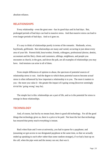absolute reliance.

#### **RELATIONSHIPS**

Every relationship - even the great ones - has its good days and its bad days. But, prolonged periods of bad days can lead to massive stress. And that massive stress can lead to even longer periods of bad days. And so it goes on.

It's easy to think of relationships purely in terms of the romantic. Husbands, wives, boyfriends, girlfriends. But relationships are many and varied, occurring in just about every area of your life. Parent/child, boss/worker, friends, colleagues, professional (doctor, dentist, accountant and the like), clients and customers, siblings, neighbours, and people you encounter at church, in the gym, and down the pub, are all examples of relationships you may have. And tensions can arise in all of them.

From simple differences of opinion to abuse, the spectrum of potential sources of relationship stress is vast. And the degree to which those *potential* sources become *actual* stress is often influenced by how important a relationship is to you. The more it matters to you - the more you value it - the greater the impact of it going wrong (however seemingly trivial the 'going wrong' may be).

The simple fact is this: relationships are a part of life, and so is the potential for stress to emerge in those relationships.

#### **TECHNOLOGY**

And, of course, last but by no means least, there is good old technology. For all the good things that technology gives us, there is a price to be paid. Not least the fact that technology has ensured that pretty much everything is instant.

Back when Kate and I were at university, you had to queue for a payphone; and (assuming we got access to our designated payphone at the same time, so that we actually ended up speaking to *each other* rather than some random stranger), if we had a bust-up on the call, when the pips went and the money ran out, that was it.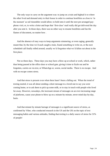The only ways to carry on the argument was: to jump on a train and hightail it to where the other lived and demand entry to their house in order to continue hostilities as close to 'in the moment' as rail timetables would allow; to hold onto it until the next pre-arranged payphone visit; or, to write a letter and hope that 'first-class' mail really did get delivered the day after you sent it. In those days, there was no other way to resume hostilities and fan the flames of discontent, no matter how .

And the absence of easy ways to keep arguments simmering, or even raging, generally meant that, by the time we'd each caught a train, found something to write on, or the next scheduled call finally rolled around, usually we'd forgotten what we'd fallen out about in the first place.

Not so these days. These days you may have a blow up at school or work, which, rather than being paused at the office door or school gate, giving it time to fizzle out and be forgotten, carries on via text, or WhatsApp or, worse, social media. There is *no* escape. And with no escape comes stress.

And that stress is present even when there hasn't been a falling out. When the trend of texting started, it was all about sending a short message to a loved one to say you were coming home, or to ask them to pick up some milk, or to stay in touch with people who lived far away. However, nowadays, the incessant stream of messages on an ever-increasing range of platforms, cause your phone to blow up on a minute-by-minute, never mind day-by-day, basis.

And that minute by minute barrage of messages is a significant source of stress, as confirmed by Viber, who conducted research in the US and the UK on the topic of text messaging habits and various attitudes, finding that texting is a daily source of stress for 31% of people!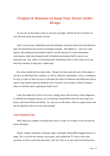# **Chapter 8: Reasons to Keep Your Stress Under Wraps**

So you can see that stress comes at you from all angles, and has all sorts of effects on your life both inside and outside of work.

And, in recent years, thankfully (and most definitely not before time) stress has become a topic of conversation that receives increasing coverage. And rightly so – stress has a big impact, and creating an environment where it can become part of a more mainstream conversation, rather than being the stuff of hushed conversations held in secret is an important step. But, while it is *becoming* more mainstream, there is still a long way to go, and stress remains, in large part, a taboo topic.

But, stress should not be a taboo topic. Already you have seen the scale of the impact it can have on individual lives, families, as well as collective communities, such as workplaces. So why is it that we find it so easy to talk about the effects of illnesses and afflictions such as cancer, heart disease, physical disability, but it becomes way too big of a deal to mention when we feel like stress is getting the better of us?

Look, the simple fact is this: if you have a dodgy heart, had received a cancer diagnosis, or suffered life-changing injuries, you'd seek help, and probably share the news (and your fears), with close friends and family. So, why not so with stress, which in a great many cases has the potential to be every bit as devastating?

### **THE STEREOTYPE**

Well, there are a number of reasons that stress is a topic we'd rather avoid, not least the stress stereotype.

Manic, volatile, emotional, irrational, angry, unreliable. Dishevelled, haggard and out of shape. We've all seen the cartoons, the memes, and watched the TV shows where that caricature of stress is put front and centre. And, let's face it, no-one wants to be *that* person.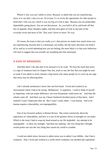Which is why you can't admit to stress. Because, to admit that you are experiencing stress is to say that's who you are. Or at least, it's to invite the opportunity for other people to *think* that's who you are, which is way too big of a risk to take. Because *you* are predictable, dependable, going places. *You* are not that person. So, you hold it all in, and brush off that loss of appetite, those sleepless nights, and that extra glass of wine as just part of the everyday twists and turns of life. They aren't down to stress. No way.

Of course, the irony is that you *really aren't* that person, no matter how much stress you are experiencing, because that is a stereotype, not reality; but the more and more you hold it all in, and try to avoid admitting how you are feeling, the more likely it is that your *behaviour* will start to suggest that you actually are morphing into that stereotype.

#### **A SIGN OF WEAKNESS**

And then there's the idea that to be stressed is to be weak. We bust the myth that stress is a sign of weakness back in Chapter One, but, myth or not, the fear that you might be seen as weak if you admit to stress remains a big reason why many people try to cover up any sign that stress may be affecting them.

Like I already mentioned, I know that one first-hand. I lived and worked in an environment where I had to be strong. Bulletproof. A superhero. I used to think of myself as Superman, with one major difference: not even Kryptonite could touch *me*. And then the wheels came off. And there was my Cheese Sandwich Incident (more of that later). And I realised I wasn't Superman after all. But I wasn't *weak*, either - I was human. And to be human requires vulnerability, not impregnability.

One of my favourite authors is Brenee Brown. She writes extensively about the importance of vulnerability, and how it is one of the greatest shows of strength we can make. Which is the irony I had to wrap my head around as my life imploded - my attempt to be impregnable – to show my strength - had been my undoing - the very thing that I thought would protect me was the very thing that caused my world to crumble.

I could not admit stress, because to admit stress was to admit I was fallible - that I had a weakness. And, I lived and worked in a world where weakness was derided and capitalised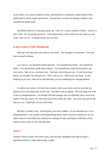on by others, so to dare to admit to stress, and therefore to weakness, would surely be the death-knell to all my hopes and dreams. Except that it was the *not* daring to admit it that sounded that death-knell.

And Brenee Brown's reasoning stacks up. Like we've said a number of times - stress is a fact of life. It's not going anywhere. And experiencing a fact of life does not mean you are weak - how can it? - it simply means you are alive.

# **A SELF-INFLICTED PROBLEM**

Next up is the idea that your stress is your fault. You brought it on yourself. You only have yourself to blame.

Let's face it, you should *be* better than this. You should *know* better. You should *do* better. You should have made better choices. You should have followed the advice you were given. But, oh no, you knew best. And look where that got you. If you'd just been *better* you wouldn't be stressed now. This is all on you - 100% your own fault. In fact, looking at you now, when all is said and done, you are something of a disappointment.

To admit your stress, is to have that scenario where your stress is all on you that you played out in your head, play out for real. And *that* is not an option. The last thing you want to be is a disappointment - you already feel bad enough, and you definitely don't need to be made to feel any worse. So, best keep your stress under the radar. Just suck it up and do the best you can. Hopefully, no-one will notice.

But here's another irony with keeping your stress hidden - in your attempt not to 'be a disappointment', you actually risk disappointing pretty much everyone around you, as you allow stress to overwhelm you without ever asking for help, and begin to fall short of the mark in many areas of your life and work.

# **GUILT**

Another reason to hide your stress away, and one that I grappled with right up until I imploded (and for a while afterwards), is guilt.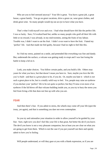Who are you to feel stressed anyway? Your life is great. You have a great job, a great house, a great family. You go on great vacations, drive a great car, wear great clothes, and drink great wine. So many people would rip out an eye to have what you have.

That's what I told myself over and over. I had what should have felt like the perfect life. I was so lucky. Sure, I'd worked hard but, unlike so many people who graft all their life with little or no reward, I was *already*, in my mid-twenties, seeing the fruits of my labour. Trouble was, I didn't want to eat the fruit. I didn't even want to *have* the fruit. I hated my 'perfect' life. And *that* made me feel guilty, because I had no right to feel like this.

So I hid my stress, painted on a smile, and pretended like everything was fine and dandy. But, underneath the surface, a volcano was getting ready to erupt and I was fast losing the battle to keep a lid on it.

Look, you make choices. You follow certain paths, and you build a life. Others may yearn for what you have, but that doesn't mean *you* have to. Sure, maybe you love the life you've built - and that is a *great* place to be, if you do. Or, maybe you hate it - which is *not* such a great place to be, but is a totally *valid* way to feel. Yes, people may raise an eyebrow if you declare your 'perfect' life to be not quite so perfect, but they'll raise even more of an eyebrow if the lid blows off that volcano building inside you, as you try to bury the stress you feel from living a life that does not line up with who you are.

# **FEAR**

And then there's fear. If you admit to stress, the wheels may come off your life (spot the irony, yet again), and that is something you dare not even contemplate.

So you try and rationalise your situation in order to allow yourself to be guided by your fear. Sure, right now you don't feel like your life is that great, but better the devil you know. The devil you know is not a very pleasant companion, but at least you are clear on what you are going to get from them. Which is not the case if you put yourself out there and openly admit to how you're feeling.

Will people understand, or will they gaze at you with a blank expression, as if you are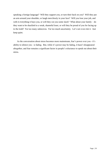speaking a foreign language? Will they support you, or turn their back on you? Will they put an arm around your shoulder, or laugh mercilessly in your face? Will you lose your job, and with it everything it buys you, or will they cut you some slack? What about your family – do they want to be shackled to a weak, shameful loser, or will they be proud of you for facing up to the truth? Far too many unknowns. Far too much uncertainty. Let's not even risk it. Just keep quiet.

As the conversation about stress becomes more mainstream, fear's power over you - it's ability to silence you - is fading. But, while it's power may be fading, it hasn't disappeared altogether, and fear remains a significant factor in people's reluctance to speak out about their stress.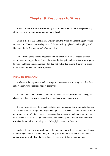# **Chapter 9: Responses to Stress**

All of those factors – the reasons we try so hard to hide the fact we are experiencing stress - are why we have turned stress into a big deal.

Stress is the elephant in the room. We may admit to it with an almost flippant "I'm so stressed!" or "You are so stressing me out!", before making light of it and laughing it off. But admit the *truth* of our stress? Way too risky.

Which is one of the reasons stress is known as 'the silent killer'. Because all those factors - the stereotype, the weakness, the self-infliction, guilt and fear - feed your responses to stress, and those responses, more often than not, rather than taming it, give your stress more and more freedom to do as it pleases.

### **HEAD IN THE SAND**

And one of the responses – and it's a super-common one – is to recognise it, but then simply ignore your stress and hope it goes away.

It won't. Trust me. I tried that, and it didn't work. In fact, far from going away, the chances are, that stress you are experiencing will get worse. *Much* worse.

It's not rocket science. If you got a splinter, and you ignored it, it would get inflamed. And if you continued to ignore it, maybe Staphylococcus or Tetanus would follow. And noone wants that, right? So, no matter how squeamish you may be, and no matter how low your threshold for pain, you get the tweezers, remove the splinter as soon as you notice it, disinfect the wound, and it's all good. No Staphylococcus. No Tetanus.

Well, in the same way as a splinter is a foreign body that will do you harm once lodged in your finger, stress is a foreign body in your system, and the hormones it's sent racing around your body will, just like the splinter, do you harm if they are not removed.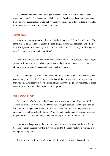It's this simple: ignore stress and it gets infected. Deal with it and, maybe not right away, but eventually, the chances are, it'll all be good. Burying your head in the sand may help you avoid the issue for a while, but eventually you are going to have to face it, reach for those tweezers, and deal with it before it's too late.

### **DENY ALL**

A twist on ignoring stress is to deny it. I tried this one, too. It doesn't work, either. This is the full-on, no holds barred, head in the sand, fingers in your ears approach. The whole idea that if you don't acknowledge it, it doesn't actually exist. It's that way of thinking that says "If I don't say it out loud, it isn't true".

Only, if it's true, it's true come what may, whether you speak it out loud, or not. And, if you are suffering with stress, whether you acknowledge it or not, you are suffering with stress. Denying it doesn't make it not exist, it makes it worse.

Just as you might say to an alcoholic that, until they acknowledge their dependency they cannot change it, if you don't admit to, and acknowledge, the stress you are experiencing, then you will never deal with it. And stress left undealt with will quickly run amok. If stress is not to be your undoing, then denial is not an option.

#### **JUST SUCK IT UP**

Of course, there's also a school of thought that stress is inevitable. It's a part of life. Always has been, always will be. And that's true. But, just because something is a part of life does not mean you have to like it, or that you need to welcome it with open arms and encourage it to pull up a chair by the fire. You can, and you should, only engage with stress on your terms. And you definitely should not be cosy up in front of the fire with it.

You see, the danger is that, the cosier you get with stress, the more risk there is that it becomes so much a part of your life that you are used to it. Comfortable with it, even. It's not a problem any more.

But, remember the fight or flight response? Remember how when that continues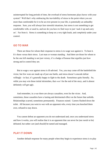uninterrupted for long periods of time, the overload of stress hormones plays havoc with your system? Well that's why embracing the inevitability of stress to the point where you are more than comfortable for it to be an ever-present in your life, is potentially an unhealthy response. Sure, you will *always* face stressful situations, but stress is not something to get comfortable with, or used to, and nor do you have to find ways to just 'suck it up and carry on'. Far from it. Stress is something to keep on a *very* tight leash, and *completely* under your control.

#### **GO TO WAR**

There are those for whom their response to stress is to wage war against it. To beat it. It's them versus their stress. Last man or woman standing. And there are those for whom to be the one left standing is not just victory, it's a badge of honour that signifies just how strong and in control they are.

But to wage a war against stress is ill-advised. Yes, you may come off the battlefield the victor, but few wars are made up of just one battle, and stress doesn't concede defeat willingly - in fact, it's generally happy to fight to the death. Sometimes quite literally. So, while you may win those initial skirmishes, that *won't* be the end of the story, and it almost definitely *will* get ugly.

And remember, in a war there are always casualties, even for the victor. And, sometimes, those casualties have a lasting and detrimental effect on the future that unfolds. Relationships scarred, sometimes permanently. Finances ruined. Careers flushed down the toilet. All because you went to war with an opponent who, every time you knocked them over, refused to stay down.

You cannot defeat an opponent you do not understand and, once you understand stress and how it works, you will realise that it is an opponent that can never be (nor *needs* to be) defeated, but rather *can* (and *should*) be tamed and managed.

# **PLAY IT DOWN**

Another default response for many people when they begin to experience stress is to play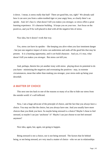it down. I mean, is stress really that bad? There are good bits, too, right? We already said how it can save you from a sabre-toothed tiger or your angry boss, so clearly there's an upside. And, let's face it, what doesn't kill you makes you stronger, so stress offers a great learning experience. It's character building. It keeps you on your toes. Just focus on the positives, and you'll be well-placed to deal with all the negative bits of stress.

Nice idea, but it doesn't work that way.

Yes, stress *can* have its upsides – like keeping you alive when you face imminent danger - but just one negative impact of stress can undermine and undo *all* the good bits that may be present. It *is* a learning opportunity, and it *can* build character. And yes, it's true, what doesn't kill you makes you stronger. But stress *can* kill you.

And, perhaps, therein lies yet another irony with stress: playing down its potential to do you harm - minimising the negatives and overstating the positives - may, in extreme circumstances, mean that rather than making you stronger, your stress ends up being your downfall.

## **A MATTER OF CHOICE**

This next one ties back to one of the reasons so many of us like to hide our stress from the outside world: it's self-inflicted.

Now, I am a huge advocate of the principle of choice, and the fact that you always have a choice. You may not like the choice, but you always have one. And you usually have more choices than you think you have. So maybe being stressed is a choice? Maybe I chose to feel stressed, so maybe I can just 'unchoose' it? Maybe I can just choose to not feel stressed anymore?

Nice idea, again, but, again, not going to happen.

Being stressed is *not* a choice, nor is not being stressed. The factors that lie behind being, or not being stressed, *are* very much a matter of choice - who we are in relationships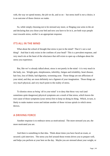with, the way we spend money, the job we do, and so on - but stress itself is *not* a choice, it is an *outcome* of those choices we make.

So, while simply choosing not to be stressed any more, or flinging your arms in the air and declaring that you chose your bed and now you have to lie in it, are both ways people react towards stress, *neither* is an appropriate response.

#### **IT'S ALL IN THE MIND**

What about the school of thought that stress is just in the mind? That it's not a real thing? And that it only exists in the confines of your head? This is a prevalent response, and very much sits at the heart of the reluctance that still exists to open up a dialogue about the stress you experience.

But, like we've already talked about, stress is not purely in the mind - it is very much in the body, too. Weight gain, sleeplessness, infertility, fatigue and irritability, heart disease, hair loss, loss of libido, bad digestion, worsening acne. Those things are not afflictions of your mind, and they are most definitely *not* a figment of your imagination. Those things are *very much* physical, and *very much* point to the reality of stress.

To dismiss stress as being 'all in your mind' is to deny that those very real (and sometimes quite dangerous) physical symptoms are a result of that stress, which leaves the root cause of those symptoms (your stress) free to keep on doing its thing. Which, in turn, is likely to make matters worse and initiate another of those vicious spirals in which stress thrives.

# **A DRIVING FORCE**

Another response is to embrace stress as motivational. The more stressed you are, the more motivated you are.

And there is something in that idea. Think about times you have faced an exam, or secured a job interview. The stress you feel around those events drives you to prepare well, and helps you perform at your best on the day. Maybe you are stressed about your weight, or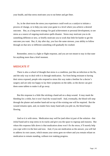your health, and that stress motivates you to eat better and get fitter.

So, in the short-term the stress you experience *could* work as a catalyst to initiate a process of change, or to help you raise your game to a level where you achieve a desired outcome. But, as a long-term strategy for goal achievement or personal development, to see stress as a source of ongoing motivation spells disaster. Stress may motivate you to do something different or new, or briefly motivate you to work that little bit harder to get the outcome you want. But, if, day after day, you face the same stresses, your ability to follow through on that new or different something will gradually be crushed.

Remember, stress is a fight or flight response, and you are not meant to stay in that state for anything more than a brief moment.

### **MEDICATE IT**

There is also a school of thought that stress is a condition, just like an infection or the flu, and the only way to deal with it is through medication. Far from being resistant to having their stress exposed, people who respond to stress this way make a beeline for a doctor's surgery and are only too happy to lay their symptoms on the table, so the doctor can give them some tablets to make it all go away.

But this response is a little like sticking a band-aid on a deep wound. It may mask the bleeding for a while, but it won't heal the wound itself. And, eventually, the blood will seep through the plaster and another band-aid on top of the existing one will be required. But the wound remains open, and, no matter how many band-aids you pile on, the blood keeps flowing.

And so it is with stress. Medication may well be (and often is) part of the solution - that *initial* band-aid to stop stress in its tracks and give you the space to regroup and reassess. But where this response falls down is that medication alone won't fix the stress, it'll merely help you cope with it in the here and now. And, if you see medication as the answer, you will fail to address its root causes, which means your stress goes no-where and you remain reliant on medication to remain standing, without ever making progress.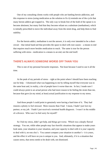One of my consulting clients works with people who are battling heroin addiction, and this response to stress (using medication as the solution to fix it) reminds me of the cycle that many heroin addicts get trapped in. The only way to break free of the hold of the opiate is to become abstinent, but many find that they become reliant on a substitute (methadone), which is initially prescribed to move the individual away from the street drug, and help them to find stability.

For the heroin addict, methadone is not the answer, it is only ever intended to be a shortcircuit – that initial band-aid that provides the space to deal with root causes – a means to end that requires much more besides medication to reach. The same is true for the person suffering with stress - medication is a means to an end, not the end itself.

### **THERE'S ALWAYS SOMEONE WORSE OFF THAN YOU**

This is one of my personal favourite responses. Not least because I used to use it all the time.

At the peak of my periods of stress – right at the point where I should have been reaching out for help – I dismissed what was happening to me by telling myself that everyone was in the same boat and, in reality, a lot of people have it worse than me. In fact, I made sure I could always point to an actual person who had more reason to be feeling the strain than me, because that gave (in my mind, at least) actual justification to my response to my stress.

And those people I could point to genuinely were having a hard time of it. They had reasons a-plenty to feel stressed. More reasons than I had. I mean, I hadn't just lost my partner, or my job. I hadn't just received a terminal health diagnosis. I wasn't in the middle of a divorce. Who was I to feel sorry for myself?

So I hid my stress, didn't get help, and things got worse. Which was a deeply flawed strategy. You see, while other people may face horrific situations that appear to make yours look tame, your situation is *your* situation, and your capacity to deal with it is *your* capacity to deal with it, no-one else's. You cannot compare your situation to another's - it is yours, and the effect it will have on you is unique to you. And, ultimately, if it is a situation that causes stress, that stress needs to be dealt with, not dismissed.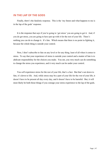# **IN THE LAP OF THE GODS**

Finally, there's the fatalistic response. This is the 'my future and what happens to me is in the lap of the gods' response.

It is the response that says if you're going to 'get stress' you are going to get it. And, if you do get stress, you are going to have put up with it for the rest of your life. There's nothing you can do to change it. It's fate. Which means that there is no point in fighting it, because the whole thing is outside your control.

Now, I don't subscribe to fate on any level or for any thing, least of all when it comes to stress. To say that your experience of stress is outside your control and a matter of fate is to abdicate responsibility for the choices you make. You see, you very much can do something to change the stress you experience, and it very much can be under your control.

You *will* experience stress for the rest of your life, that's a fact. But that's not down to fate, it's down to life. And, while stress may be a part of your life for the *rest* of your life, it doesn't have to be present all day every day, and it doesn't have to be harmful. But, it will most likely be both those things if you consign your stress experience to the lap of the gods.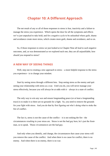# **Chapter 10: A Different Approach**

The net result of any or all of those responses to stress is fear, inactivity and a failure to manage the stress you experience. Which opens the door for all the symptoms and effects we've just unpacked to take hold, and for a negative cycle to be unleashed where guilt, shame and avoidance create more stress, which creates more guilt, shame and avoidance, and so on.

So, if those responses to stress we just looked at in Chapter Nine all lead to such negative outcomes, and, as was demonstrated as we explored each one, they are all unjustifiable, how *should* you respond to stress?

# **A NEW WAY OF SEEING THINGS**

Well, step one to creating a new approach to stress – a more helpful response to the stress you experience - is to change your mindset.

Start by seeing stress through a different lens. Stop seeing stress as the enemy and quit seeing your relationship with stress as a war. Until you do, you will never manage your stress effectively, because you will always be at odds with it – always in a state of conflict.

The only way to win any war and ensure longstanding peace (or at least a longstanding truce) is to make it so there are no grounds for a fight. So, you need to remove the grounds for your fight with stress. And you do that by first figuring out who's doing what to stoke the fire of conflict.

The fact is, stress is not the cause of the conflict  $-$  it is not stoking the fire  $-$  the circumstances *resulting* in your stress are. Stress is not the bad guy here, he's just the frontman, so to speak. Those *circumstances* are the bad guy.

And only when you identify, and change, the circumstances that cause your stress will you remove the cause of the conflict. And when there is no cause for conflict, there is no enemy. And when there is no enemy, there is no war.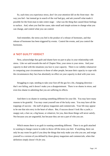So, each time you experience stress, don't let your attention fall on the front-man - the way you feel - but instead go in search of the *real* bad guy, and ask yourself what made it possible for the front-man to take centre stage - what was the thing that caused those feelings to surface. And, when you find the cause, take small and simple actions to change what you can change, and control what you can control.

And remember, the stress you feel is the product of a release of hormones, and that release of hormones has been triggered by events. Control the events, and you control the hormones.

# **A 'NOT GUILTY' VERDICT**

Next, acknowledge that guilt and shame have no part to play in your relationship with stress. Like we said towards the end of Chapter Nine, your stress is your stress. And your capacity to deal with the situations you face is your capacity. There is no validity whatsoever in comparing your circumstances to those of other people, because their capacity to cope with the circumstances they face has absolutely no effect on your capacity to deal with your own.

Struggling to cope, needing to take your foot off the gas for a bit, changing direction – that's not failing, and it doesn't make you a disappointment. There is no shame in stress, and even less shame in admitting that you are suffering its effects.

And there is no shame in wanting something different for your life. You may have many reasons to be grateful. You may count yourself one of the lucky ones. You may have all the trappings of success – the stuff of glossy magazines and commercials. Your life may appear to be one that stirs envy in the heart of others. But, if success doesn't look like a yacht, a snappy suit, a fast car, a big house, or whatever, for you, then those things will never satisfy. Not because you are ungrateful, but because they are not a part of who you are.

Which means there is no guilt in wanting something different. There is no guilt attached to wanting to change course in order to throw off the stress you feel. If anything, there can only be any room for guilt if you *deny* the things that truly make you who you are, and resign yourself to a version of you defined by those glossy magazines and commercials, when that definition simply doesn't fit *for you*.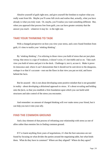Absolve yourself of guilt right now, and give yourself the freedom to explore what you really want from life. Maybe you'll come full circle and realise that, actually, what you have already is what you truly want. Or, maybe, you'll realise you want something different. But, when you approach that process free from guilt, you can have greater certainty that the answer you reach – whatever it may be - is the right one.

# **TAKE YOUR THINKING TO TASK**

With a changed perspective on how you view your stress, and a new found freedom from guilt, it's time to tackle your 'stinking thinking'.

By 'stinking thinking', I'm referring to those views you hold of stress that are just plain wrong: that stress is a sign of weakness, it doesn't exist, it's inevitable and so on. Take each view you hold of stress and put it in the dock. Challenge it, test it, accuse it. Make it prove its innocence and, where it can't demonstrate that it should not be sent down to the dungeons, reshape it so that it's accurate - root out the flaws in that view you put on trial, and leave behind the facts.

But be assured – this is not about developing some positive mindset that is not grounded in reality - about developing a *delusional* approach to stress. It's about revealing and holding onto the *facts,* so that you establish a firm foundation upon which you can build solid structures and take control of the stress you encounter.

And remember: no amount of changed thinking will *ever* make stress your friend, but it can help you turn it into your *ally*.

# **FIND THE COMMON GROUND**

And a key element of that process of reframing your relationship with stress as one of allies rather than enemies lies in finding common ground.

If I've learnt anything from years of negotiations, it's that the best outcomes are not found by focusing on what divides the parties around the negotiating table, but what binds them. What do they have in common? Where are they aligned? Where do they agree?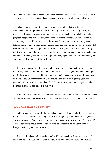When you find the common ground, you create a starting point. A safe space. A place from which whatever differences and disagreements may arise can be addressed positively.

When it comes to stress, the common ground is found in what lies at its source. Remember, stress is a product of your fight or flight response, and your fight or flight response is designed to do you good, not harm - to keep you alive and to help you make progress, not pummel you into the ground with a hormone overload. So, fundamentally, while it may not feel like it, stress actually wants to be on your side, rooting *for* you not fighting against you. And that common ground that you and your stress response share - that desire for you to experience good things – is your starting point. And, from that starting point, you can explore the root cause events that trigger your stress more constructively – not automatically seeing them in a negative light, but being open to the possibility there may be something positive and helpful to be found.

It is the root cause event that is the fuel that gives stress its momentum. And just like with a fire, when you add fuel it increases in intensity, and when you remove the fuel it goes out, in the same way, if you add fuel to your stress its intensity increases, and if you remove it, it dies away. So, if that common ground reveals that the event triggering your stress is generating a positive momentum, then add fuel. But, if the momentum is negative, and that hormone overload is building, then remove it.

And, as you focus on using that common ground to better understand each new encounter with stress, so your relationship with stress shifts away from enemy and moves closer to ally.

#### **ACKNOWLEDGE THE REALITY**

With the common ground firmly established, you have also recognised that your stress really does exist. It is an actual thing. There is no-longer any room to deny it, or ignore it. So, acknowledge it. Say the words out loud: "I am experiencing stress", or "I feel stressed". There is something about saying words out loud, as opposed to holding them within, that brings a reality to your circumstances.

Like you, I've heard all the motivational stuff about 'speaking things into existence', but *this* is not *that*, You see, *that* is about trying to bring something not yet real into reality -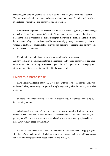something that does not yet exist as a state of being or as a tangible object into existence. *This*, on the other hand, is about recognising something that already *is* reality, and already *is* in existence - your stress - and acknowledging its presence.

And this is an important step, because, like we've said previously, until you acknowledge the reality of something, you can't change it. Simply denying its existence, or burying your head in the sand, as we said in the previous chapter, may avoid the problem in the short-term, but no amount of ignoring or denying will make it actually go away. To make a problem whether it be stress, or anything else - go away, you first have to recognise and acknowledge that there even *is* a problem.

Keep in mind, though, that to acknowledge a problem is not to *accept* it. Acknowledgement is realism, acceptance is resignation, and you can acknowledge that your stress exists without *accepting* its presence in your life. In fact, you can acknowledge your stress and *reject* its presence in your life all in the same breath.

#### **UNDER THE MICROSCOPE**

Having acknowledged it, analyse it. Get to grips with the facts of the matter. Until you understand what you are up against you will simply be guessing what the best way to tackle it might be.

So spend some time unpicking what you are experiencing. Ask yourself some simple, but crucial, questions.

What is causing your stress? Are you stressed because of looming deadlines, or are you trapped in a situation that jars with your values, for example? Is it down to a pressure you put on yourself, or a pressure put on you by others? Are you experiencing upheaval in your life? Are you surrounded by uncertainty?

Revisit Chapter Seven and see which of the causes of stress outlined there apply to your situation. When you know what lies behind your stress, you can begin to identify actions you can take, and strategies you can adopt, to tame it and manage it.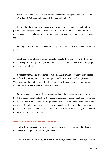*Where does it show itself?* Where are you when those feelings of stress surface? At work? At home? With particular people? In a particular place?

Begin to build a picture of when and where your stress shows its face, and look for patterns. The more you understand about the times and locations you experience stress, the more prepared you can be, and the more preventative measures you can take to head it off at the pass.

*What effect does it have?* When stress does put in an appearance, how does it make you feel?

Think back to the effects of stress outlined in Chapter Four and see which, if any, of those key signs of stress you recognise in yourself. Do you notice any early warning signs that stress is building?

*What messages do you give yourself when you feel its effects?* When you experience stress, how do you respond? Do you bury your head? Go to war? Suck it up? Deny it? What messages do you tell yourself in those moments? Look again at Chapter Nine and see which of those responses to stress resonate with you.

Putting yourself in control of your stress - taming and managing it - is not rocket science, but it does require intent and action. So, get intentional and (starting with those four simple but powerful questions) take the actions you need to take in order to understand your stress, get to know it, and get underneath and inside it. Unpack it. Figure out what gives it its power, and how you can take that power away. Leave no stone unturned as you uncover the reality of the stress you experience.

# **PUT YOURSELF IN THE DRIVING SEAT**

And with every aspect of your stress uncovered, use what you uncovered to discover what needs to change in order to put you in control.

You identified the causes of your stress, so what do you need to *do* take charge of those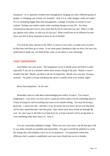situations? Is it a question of better time management, hanging out with a different group of people, or changing your routine, for example? And, if it is, what changes *could* you make? Or is it something bigger than time management, a change of friends, or tweaks to your routine? Perhaps you need to make wider-reaching changes in your life. Are there circumstances that give rise to your stress that do not fit with who you are? What is it that jars against your values, or robs you of your joy? What would have to be different for that stress you feel in those moments to have no air to breathe?

You took the time, and put in the effort, to uncover your stress, so make sure you don't let that time and effort go to waste. It can seem pretty daunting to take on stress, but now you understand it inside out, you hold all the cards, so use them to your advantage.

### **TAKE OWNERSHIP**

And finally own your stress. The temptation can be to shrink away and brush it aside especially if you are in a moment where stress seems a thing of the past. Maybe it wasn't actually that bad. Maybe you blew it all out of proportion. Maybe you were just 'having a moment'. No point in fixing something that doesn't actually seem to be broken, right?

Resist that temptation. At all costs.

Remember what we said about acknowledging the reality of stress? You weren't imagining it - your stress was real, and it's going no-where unless you do something about it. It may be lying low and everything may seem to be smooth sailing. You may be having a good day - a stress free day - and that's to be savoured, but you know all too well that there will be days ahead that don't feel this good - days where your stress levels are through the roof. So, don't pass it off, hide it (or hide *from* it), or look to brush it off as no big deal, or even something other than what it is. Own it.

You see, ownership underpins change. When you own your stress, and all that goes with it, you make yourself accountable and responsible. You give yourself the platform to create the change that will establish a new set of circumstances. Circumstances where that difference that's needed is established, and your stress finally has no air to breathe.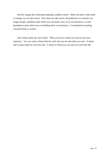And the change that ownership underpins, enables control. When you know what needs to change you can take action. And when you take action, that platform you created is no longer simply a platform upon which you *can* build a new set of circumstances, it is the *foundations* upon which you *are* building those circumstances. A foundation for putting yourself firmly in control.

And control opens up a new future. When you are in control you can set your own trajectory. You can create a future that fits with who you are and what you want. A future that is tailor-made for your best self. A future in which you can truly live your best life.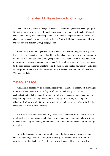# **Chapter 11: Resistance to Change**

Own your stress, embrace change, take control. Sounds straight-forward enough, right? No part of that is rocket science. It may be tough, sure, and it may take time, but it's totally achievable. So why don't more people do it? Why do so many people walk to the door of change and then decide to stay right where they are? Why did I do that exact same thing for the best part of a decade? Why, perhaps, do you?

When I think back to that period of my life where stress was building to unmanageable levels and burnout was fast approaching, I knew that where I was, was not where I needed to be. I knew that every day I was sinking deeper and deeper under an ever-increasing tsunami of stress. And I knew that no-one but me could fix it. And yet, somehow, I remained rooted to the spot, trapped in inertia, unable to seize the moment and create a new reality. Until, that is, the option for inertia was taken away and my world caved in around me. Why was that? Why did I do that?

# **THE BOILED FROG**

Well, human beings have an incredible capacity to acclimatise to discomfort, allowing it to become a new baseline for normality. And that's all well and good if it's an acclimatisation that helps you push through the wall when you are running a marathon, or keep working late into the night when you are studying for an exam, or dealing with a ridiculous deadline at work. Or, in other words, it's all well and good if it's confined to the short-term  $-$  if there is an end in sight.

It's like the fable about the boiled frog. You've no doubt come across the story - it's a much used, and rather gruesome and inhumane, metaphor. And I'm going to borrow it here to demonstrate a big reason why we so often walk up to the door of change, but refuse to go through it.

So the fable goes, if you drop a frog into a pan of boiling water (put aside questions about why you might want to do that, for a moment), unsurprisingly it'll do all within its power to get straight back out. But, sit it in a pan with some cold water and it will start out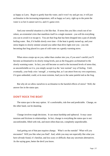as happy as Larry. Begin to gently heat the water, and it won't try and get out, it will just acclimatise to the increasing temperature, still as happy as Larry, right up to the point the water is so hot it cannot survive, and it's game-over.

And your stressful situation is a bit like that. If stress hits you like a truck out of nowhere, an existential crisis that manifests itself in a single moment - you will do everything you can to avoid it or escape it. You are that frog that has been dropped into a pan of already boiling water. But, if it builds slowly over time - if the heat is gently turned up, and your stress begins to slowly simmer around you rather than drive right over you - you risk becoming that frog placed in a pan of cold water on a gently warming stove.

When stress creeps up on you, rather than crashes into you, if you aren't careful you'll become acclimatised to its slowly rising levels, just as the frog grew acclimatised to the slowly warming water. In fact, you will become so used to the increased levels of stress that, as uncomfortable as it is, you simply accept it as the 'new normal' way of feeling. Until, eventually, your body cries 'enough', a warning that, as I can attest from my own experience, if it goes unheeded, could, at its most extreme, lead you to the same painful end as the frog.

But why *do* we allow ourselves to acclimatise to the harmful effects of stress? Well, the answer lies in the status quo.

# **DON'T ROCK THE BOAT**

The status quo is the easy option. It's comfortable, risk-free and predictable. Change, on the other hand, can be daunting.

Change involves tough decisions. It can mean hardship and upheaval. It may cause tensions and frictions in relationships. In fact, change is everything the status quo is not: uncomfortable, filled with risk, and more-often-than-not, completely unpredictable.

And getting out of that pan requires change. What's on the outside? What will you encounter? Will you like what you find? And, while you may not especially like what you have *already* found, it's familiar, and less scary or difficult, than any uncertain alternatives. As the saying goes, better the devil you know.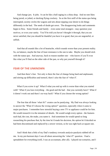And change jars. It jolts. It can be like a bull raging in a china shop. And no-one likes being jarred, or jolted, or ducking flying crockery. So at the first sniff of the status quo being interrupted, society circles the wagons and sets about nipping your desire to do things differently in the bud. The seeds of doubt get sown. The disapproving looks and comments begin to flow. Some friends and family – even some total strangers - may question your motives, or even your sanity. You'll be told you haven't thought it through, that you are never satisfied, that you should be thankful you have it so good, that you are ungrateful, or selfish.

And that all sounds like a lot of heartache, which sounds worse than your present reality. So, on balance, maybe the line of least resistance is the one to take. Maybe you should stick with the status quo. And anyway, back to reason number one – who knows if you'll even like what you'll find on the other side of the pan, so why put yourself through it?

# **FEAR OF THE UNKNOWN**

And then there's fear. Not only is there the fear of change being hard and unpleasant, and stirring up difficulties and turmoil, there's also the fear of 'what if'.

What if you screw it up? What if what you end up with is worse than what you started with? What if you lose everything – the good and the bad – that you currently have? What if it doesn't work out and there's no-way back? What if you choose the wrong option?

The fear that all those 'what ifs?' creates can be paralysing. My Dad was always looking to answer the 'What if I choose the wrong option?' question, especially when it came to major purchases. I remember how stressful buying a new TV or appliance could be for him. He would research it to the minutest of details. He would weigh every option - the features each had, the cost, the make, you name it. And sometimes he would spend so long researching his purchase that, by the time he'd made his decision, the option he'd decided on had been discontinued and replaced by a newer version, so he was right back at square one.

And I think that a little of my Dad's tendency towards analysis-paralysis rubbed off on me. In my pre-burnout days I was all about answering the 'what if?' question. I had a spreadsheet for everything (well, I was an accountant, after all). I played out scenarios, and I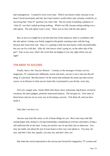had contingencies. I wanted to cover every base. Which was bizarre really, because in my heart I loved uncertainty and risk, but I had created a world where only certainty would do, so answering that 'what if?' question was what I did. The net result of tackling a plethora of 'what ifs' was that I ended up doing nothing. Which was OK, because doing nothing was a safe option. The safe option wasn't scary. There was no fear with the safe option.

But, as nice as it might be to not feel that fear of the unknown, there is a problem with the safe option: it keeps you firmly trapped in the gently warming water with the frog, because that water feels safe. Sure, it's a getting a little hot and maybe a little uncomfortable, but you can live with that. After all, who knows what's going on, on the other side of the pan? And, in any case, what's the worst that can happen if you stay right where you are, right?

#### **THE NEED TO SUCCEED**

Finally, there's the 'Success Illusion'. Contrary to the messages of many movies, magazines, TV commercials, billboards, novels and more, success is not a one-size-fits-all thing, it's personal. But that doesn't fit the norms that underpin the status quo that society craves, so an illusion of what success looks like is presented to you all day, every day.

Fast cars, snappy suits, closets filled with shoes, fancy restaurants, big houses, exclusive vacations, the latest gadgets, perfectly manicured features. The list goes on. Tick some of those boxes and you are on your way to becoming a success. Tick them all, and you have made it.

Only that's not how it is.

Success *may* look like some, or all, of those things for you. But it also may look like raising happy kids, being in a loving relationship, completing an overseas aid project, living a self-sufficient life on the land. It may not involve cars of any kind, fast or otherwise. You may not really care about the size of your house or how new your phone is. You may, for sure, and that's fine; but, equally, you may not, and that's fine, too.

But when the social expectation is the success put forward by magazines, TV screens and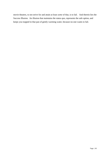movie theatres, to not strive for and attain at least *some* of that, is to fail. And therein lies the Success Illusion. An illusion that maintains the status quo, represents the safe option, and keeps you trapped in that pan of gently warming water, because no-one wants to fail.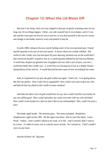# **Chapter 12: When the Lid Blows Off**

But here's the thing: when you stay trapped in that pan of gently warming water for too long, one of two things happen. Either, you sink yourself into it even deeper, until it's too late and the water gets too hot for you to survive; or you find yourself in the eye of a storm, and change is inevitable, however scary and painful it may be.

In early 2000, sitting in the now nearly boiling water of my own personal pan, I found myself squarely in the eye of one such storm. A storm where two worlds collided. The world of who I really was, but had spent 28 years denying, declared war on the world that I had convinced myself I wanted to live in: a world squarely defined by the Success Illusion. A world that, despite my genuine love of gadgets and cars with a turn of pace, was not a world that fitted who I really was. A world that was forcing me to live as a deeply flawed interpretation of the real me. A world that had become a pan of now *exceedingly* hot water.

And, as I squirmed in my pan, the guilt within me raged. I had it all. I was going places. My life was perfect. How could I be so ungrateful? How could I not want to give my wife and kids all that lay ahead in this world of career stardom?

And then the other voice of guilt would have its say: how could I sacrifice my family for my own selfish gain? How could I prioritise my career over time with my wife and kids? How could I work harder for a fast car than I did on my relationships? How could I be such a jerk?

The battle raged inside. The tensions grew. The stress mounted. Headaches, sleeplessness, night sweats, IBS. All the signs were there. But so were the labels. Loser. Weak. Failure. And I couldn't afford to be weak, or to fail. And I certainly didn't want to be a loser. To admit to stress was to commit career suicide. So I carried on. Until I couldn't carry on any more.

And the lid blew off. Big time.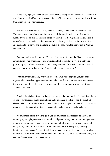It was early April, and we were two weeks from exchanging on a new house. Stood in a furnishing shop with Kate, after a busy day in the office, we were trying to complete a simple transaction for some new curtains.

The young girl serving was clearly new, and I really should have cut her some slack. This was probably an after-school job for her, and she was doing her best. But as she fumbled with the till and the minutes ticked by, I could feel the rage rising inside. I don't remember what I actually said, but it couldn't have been good, because I remember Kate apologising to our server and marching me out of the shop with the instruction to "shut up and wait here".

And that marked the beginning. The next day I awoke feeling like I had been run over several times by an articulated lorry. Everything hurt. I couldn't move. I literally had to pick up my legs off the mattress so I could swing them out of the bed. I couldn't stand. I could only crawl to the bathroom. What the hell had happened to me?

What followed was nearly two years off work. Two years of putting myself back together after stress had tipped into burnout and a breakdown. Two years that saw me reach the lowest point of my life. And that lowest point I have since come to call 'My Cheese Sandwich Incident'.

Stood in the kitchen of our new home I had managed to put together the basic ingredients of one of my favourite sandwiches: cheese and ploughman's pickle. I had the bread. The cheese. The pickle. And the butter. I even had a knife and a plate. I knew what I *needed* in order to make the sandwich, I just had absolutely no clue *how* to actually make it.

No amount of telling myself to get a grip, no amount of deep breaths, no amount of retracing my thought processes in my mind, could point the way to turning those ingredients into my lunch. And, as someone used to running multiple projects at the same time, and being totally bulletproof and able to fix any problem, this was a very new, and very humiliating, experience. To have to ask Kate to make me one of the simplest sandwiches you can make, because I could not figure out how to do it, was the lowest moment of my life, and one I never want to experience again.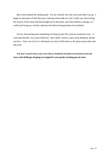But it also marked the turning point. For me, literally, the only way from there was up. I began an adventure of self-discovery, learning what made me who I really was, discovering the sources of the stress that had brought me to that point, and what needed to change, so I could start living my *real* life, and leave the flawed interpretation of me behind.

For me, discovering and committing to living my best life, took an existential crisis. A crisis that literally very nearly killed me. But it didn't need to, and it most definitely should not have. And, even if you've skimmed over most of this book so far, please pause here and take note:

*You don't need to have your own Cheese Sandwich Incident to break free from the stress and challenges keeping you trapped in your gently warming pan of water.*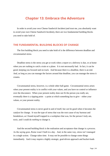# **Chapter 13: Embrace the Adventure**

In order to avoid your own Cheese Sandwich Incident (and trust me, you absolutely want to avoid your own Cheese Sandwich Incident), there are two fundamental building blocks you need to take hold of.

#### **THE FUNDAMENTAL BUILDING BLOCKS OF CHANGE**

The first building block you need to take hold of is the difference between deadline and circumstantial stress.

Deadline stress is the stress you get at work when a report or a delivery is due, or at home when you are rushing to catch a train or a plane. It is not necessarily bad. In fact, it can be good, keeping you focused and on track. And because there is a deadline, there is an end. And, as long as you can manage the factors around that deadline, you can manage the stress it creates.

Circumstantial stress, however, is a whole other ball game. Circumstantial stress arises when your present reality is in conflict with your values, and you have no control or influence over the disconnect. When your present reality does not fit the person you really are, eventually there is a tipping point – a point at which something has to give – either your values, or your present reality.

Circumstantial stress is never good in and of itself, but *can* be good when it becomes the catalyst for change. It was the type of stress that was the root cause of my burnout and breakdown, as I found myself trapped in a workplace that was, for the person I truly am, toxic, and I could do *nothing* to change it.

And the second building block is the realisation and acceptance that change is a *process*. As the saying goes, Rome wasn't built in a day. And, in the same way, stress isn't managed in a single action. Change takes time. It may not be possible to change some things immediately. And it may require a highly strategic, goal-driven approach and bucket-loads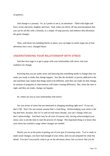of patience.

And change is a journey. Or, as I prefer to see it, an adventure – filled with highs and lows, twists and turns, laughter and tears. And, when you throw off any preconceptions that you can fix all this with a formula, or a simple 10-step process, and embrace that adventure, the game changes.

Then, with those two building blocks in place, you can begin to tackle stage one of that adventure into a new, changed future.

## **UNDERSTANDING YOUR RELATIONSHIP WITH STRESS**

And that first stage is to get to grips with your relationship with stress, and your readiness for change.

Knowing that you are under stress and knowing that something needs to change does not make you ready to make that change happen. Just like the alcoholic or person addicted to the slot machines may realise that things need to be different, until they are ready for that change, no amount of programs or interventions will make a lasting difference. But, when the time is right, and they are ready, change can happen.

So, where are you in your relationship with stress?

Are you aware of stress but not interested in changing anything right now? If you are, that's OK. Don't for one minute assume that's a bad thing. *Acknowledging* your stress is the big deal here, because, like we've said several times already, you can't change what you don't acknowledge. And there may be all sorts of reasons why, having acknowledged your stress, now is not the time to start the process of change. The important thing is to know that your stress has reached a stage where changes are needed.

Maybe you are at the point of getting out of your pan of warming water. You're ready to make some changes, you have had enough of your stress, and you are prepared for what lies ahead. You don't necessarily want to go on the adventure alone, but you know that you do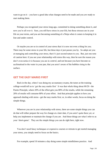want to go on it – you have a good idea what changes need to be made and you *are* ready to start making them.

Perhaps you recognised your stress long-ago, committed to doing something about it, and now you're all over it. Sure, you still have stress in your life, but those stresses are in your life on your terms, and you are becoming something of a Ninja when it comes to keeping it in line and under control.

Or maybe you are so in control of your stress that it is now not even a thing for you. There may be some stress in your life, but these days it just passes you by. So adept are you at managing and controlling your stress, that it's just second nature to you. But, just one note of caution here: if you see your relationship with stress this way, then be sure the reason you don't even notice it is because you are in *control*, and not because you have become so acclimatised to the water in your pan, that you aren't aware of the bubbles rising to the surface.

#### **GET THE EASY MARKS FIRST**

Back in the day, when I was doing my accountancy exams, the tutors at the training college would tell us to 'get the easy marks first' It was that whole thing about 80/20 - the Pareto Principle, where 20% of the effort gets you 80% of the results, while the remaining 20% of results will consume 80% of your effort. And that principle applies to how you approach dealing with stress - get the easy marks first; or, in other words, focus on doing the simple things.

Wherever you are in your relationship with stress, there are some simple things you can do that will either prepare the way for change at a later date, if you aren't quite there yet, or help you implement or maintain the change if you are. And those things are what I refer to as your 'short-game'. They are the simple things you can do right here, right now.

You don't need fancy techniques or expensive courses or retreats to get started managing your stress, you simply need to focus on the basics.

For example, spend 10 minutes a day doing some simple mindfulness practice. And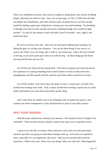when I say mindfulness practice, that can be as simple as sitting alone, eyes closed, breathing deeply, allowing your mind to clear. Sure, you can get apps, or CDs, or PDFs that will take you deeper into mindfulness, and some of those really are good; but you can also just get started by finding a quiet spot, sitting down, closing your eyes and breathing. Try breathing in through your nose for four seconds and slowly exhaling through your mouth for eight seconds. Try that for one minute to start with (that's just five breaths - easy, right?), and build from there.

Be sure to exercise every day. And I am not necessarily talking about running a 5k, hitting the gym, or cycling crazy distances. You *can* do those things if you want to, of course, but if that's not your thing, take a walk in your lunch hour, walk to the store instead of driving, or just pick up the pace when you walk the dog – all those things get the blood moving and the heart rate up a bit.

Lay off the easy food and start eating fresh. Take time to prepare your meal and savour the experience of creating something from scratch (which *in itself* can help with stress management), and fill yourself with the nutrients your body needs to perform at its best.

Lay off the alcohol. Don't have that extra glass of wine, or maybe give yourself a few alcohol-free evenings each week. And, on those alcohol-free evenings, maybe turn in a little earlier and benefit even more from some better-quality sleep.

Like I said, these are simple, easy to do techniques and, no matter how great or nonexistent your stress management is, they should feature as part of your daily practice.

### **SPOT YOUR TRIGGERS**

With the basics nailed down, identify your stressors. We touched on this in Chapter Ten, remember? These are the activities, people or places that cause you to experience stress.

A great way to do this is to keep a Stress Journal to track when you feel particularly stressed, and what was going on when those feelings came up. Each time you experience stress, especially if it was significant, take stock. Open up your journal and record the experience. Where were you? What were you doing? Who was with you? What happened?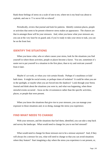Rank those feelings of stress on a scale of one to ten, where ten is my head was about to explode, and one is 'I've never felt so relaxed'.

Periodically, review that journal and look for patterns. Identify common places, people or activities that seem to be present whenever stress makes an appearance. The chances are that in amongst those will be your stressors. And, when you know what your stressors are, you can at the very least be on guard; and, if you're ready to take your stress to task, you can be on the front foot.

## **IDENTIFY THE SITUATIONS**

When you know what, who or where causes your stress, look for the situations you find yourself in where those activities, people or places become a factor. You see, sometimes it's easier not to put yourself in a situation in the first place, than to try and extricate yourself from it later.

Maybe it's at work, or when you visit certain friends. Perhaps it's mealtimes or kids' bath times. It might be social events, or perhaps times of isolation? It could be when you are in the spotlight, or maybe when you are forced into the shadows? Look through your Stress Journal and think about the situations you were in, and what was happening, when those stressful events occurred – focus on the *circumstances* rather than the specific activities, places, or people that were present.

When you know the situations that give rise to your stressors, you can manage your exposure to those situations and, in so doing, manage the stress you experience.

## **FIND WHAT NEEDS TO CHANGE**

With your stressors, and the situations that fuel them, identified, you can take a step back and survey the landscape. What would need to change for you to not feel stressed?

What would need to change for those stressors not to be a stressor anymore? And, if they will always be a stressor for you, what will need to change so that you can avoid situations where they feature? Start imagining a day where the stress you experience is not present, or,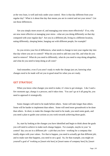at the very least, is well and truly under your control. How is that day different from your regular day? What is it about that day that means *you* are in control and not your stress? List out those differences.

Are you simply more aware of, and managing your stress more effectively? If so, why are now more effective at managing your stress - what are you doing differently on that day compared with your regular day? Are you in a different job, living in a different location, eating differently, sleeping better, hanging out with different people, for example?

As you review your list of differences, what needs to change to turn your regular day into that day where you are in control? What do you need to add into your life, and what do you need to remove? What do you need to differently, what do you need to stop doing altogether, and what do you need to keep doing at all costs?

And remember, even if you aren't ready to *make* the change just yet, knowing what changes *need to be* made will set you in good stead for when you *are* ready.

## **GET STRATEGIC**

When you know what changes you need to make, it's time to get strategic. Like I said a few moments ago, change is a process, and it takes time. You can't go at it all gung-ho, you need to approach it strategically.

Some changes will need to be made before others. Some will take longer than others. Some will be harder to implement than others. Some will need more groundwork to be done than others. In short, to make the changes that need to be made, you need some goals, and you need a plan to guide your actions as you work towards achieving those goals.

So, start by looking at the changes you have identified and begin to think about the goals you will need to achieve to make each change happen. For example, maybe in your 'in control' day you are in a different job - a job that you love - working for a company that totally aligns with your values. For that to happen, you need to actually get that different job; and to make sure *that* happens, you need to set a goal. So, for that example, you might set yourself a goal of 'working as [insert role here] at [insert name of company here] by [insert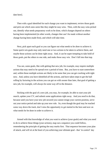date here].

Then with a goal identified for each change you want to implement, review those goals and pick out which ones seem like they might be easy wins. Then, with the easy wins picked out, identify what needs preparatory work to be done, which changes depend on others having been implemented (in other words, changes that can't be made without another change having been made first), and which will take time.

Next, pick apart each goal so you can figure out what needs to be *done* to achieve it. Some quick win goals may only need one or two actions to be taken to achieve them, and maybe those actions can be done right away. And, it can be super-tempting to take hold of those goals, put the others to one side, and make those easy win. Don't fall into that trap.

You see, some goals, like with getting that new job, for example, may require multiple actions that may need to be spread over a period of time. But, you have to start somewhere and, within those multiple actions are likely to be some that you can get cracking with right now. And, unless you have identified *all* the actions, and have taken steps to get the ball rolling by factoring in the actions you can get on with sooner than later, that goal of getting a new job, for example, will always be some way off in the distance.

Sticking with the goal of a new job, you may, for example, be able to start your job search, update your CV, and submit some applications right away. And you *need* to do that, because until you have your new job secured you cannot resign your current position, serve out your notice period and take up your new role. So, even though the goal may be reached some way down the track, don't miss the opportunity to get started in the here and now on what needs for be done in order to achieve it.

Armed with that knowledge of what you want to achieve (your goals) and what you need to do to achieve those things (your actions), map out a sequence you could follow, remembering the principle of getting the easy marks first. That sequence becomes your plan of attack, and will sit at the heart of you achieving your ultimate goal - that 'in control' day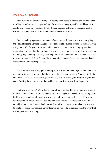#### **FOLLOW THROUGH**

Finally, you have to follow through. Knowing what needs to change, and having a plan to follow, in and of itself changes nothing. To see those changes you identified become a reality, and to reap the rewards of the effort those changes will take, you actually need to carry out the plan. You actually have to do what needs to be done.

Start by making a permanent reminder of why you are doing this - why you are going to the effort of making all these changes. To do that, create a picture of your 'in control' day in a way that works for you. Some people like to create 'dream boards', bringing together images that represent that day for them, and provide a focal point for their attention to remind them why they are doing what they are doing. Some people write it out as a poem or a piece of prose, or draw it. It doesn't matter how you do it, as long as the representation of that day is meaningful (and inspiring) for you.

Then, with the reason why you are doing all this firmly burned into your mind, take your plan and, with each action on it, build up a to do list. Then do the work. Take that to-do list and knock each 'to-do' over, ticking each one as you go to reflect your progress in your plan, and refreshing the actions you need to tackle as you work your way through your list.

And, you know what? While that 'in control' day may feel like it's a long way off, and requires a lot of hard work, just by identifying those changes you need to make, setting goals, building a plan, and actually getting to work, you will begin to experience a shift in your relationship with stress. You will begin to feel less like *it* rules the roost and more like *you* are taking charge. And, when that happens, those vicious downward spirals that stress loves to create get turned into positive, upward spirals, as you begin to see, and reap the rewards of, the progress you are making.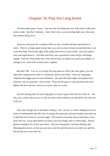## **Chapter 14: Play the Long Game**

All that sounds great, I know. And you may be feeling like now is the time to take your stress to task. And that's fantastic. And, if that's how you are feeling right now, then seize the moment and go for it.

However, just pause for a moment while we take a breath and keep expectations in check. There is a longer game to play here, too, and you have to keep in mind that this is not a one-shot deal. Never lose sight of the reality that stress is a fact of life - you can't tame it once and forget about it. Life ebbs and flows, new experiences come and go, and things change. And all of that means that, from time to time, no matter how good your abilities to manage it are, stress will, at some point, reappear.

But that's OK. You see, if you play the long game as well as the short game, you can keep those reappearances both to a minimum, and on your terms. And your long game comprises the bigger parts of your adventure – the parts that take longer, encompass more elements, and are generally a slower burn. These are the parts of your adventure that don't address the here and now, but set you up for what is to come.

And the starting point for your long game is to get to grips with who you really are. Not who you've been *told* you are, or who you have come to believe you *should* be, but who you *really* are.

Take note, though: this is not about creating a 'new' person, it's about stripping away the layers of interpretation that life, fear of change, the status quo and more besides have built up to hide the real version of you from sight. That version of you has always been there, it has never left you. It was there before you drew your first breath, and it is there today. And its greatest longing is be set free once more. And your long game is all about finding, and liberating that person, so that you can once more become the person you really are, and live the life that you were made for.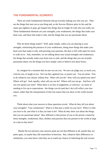#### **THE FUNDAMENTAL ELEMENTS**

There are some fundamental elements that go towards making you who you are. They are the things that start out as one thing and, as the Success Illusion spins its lies and the status quo tightens its grip, get shaped into things that no longer fit with who you really are. These fundamental elements are your strengths, your weaknesses, the things that make your heart soar, and those that make it sink, and the things that you are passionate about.

Why do those things matter? Well, quite simply, unless you are playing to your strengths, minimising the presence of your weaknesses, doing more things that make your heart soar than make it sink, and pursuing your passions, the door is left wide open for stress to walk on in. And, remember, we are talking about your actual strengths and weaknesses, the things that actually make your heart soar or sink, and the things that you are *actually* passionate about; *not* the things you have simply come to believe tick those boxes.

So, imagine for a moment that no-one can see you. No-one can judge you, or mock you, criticise you, or laugh at you. Nor can they applaud you, or praise you. You are alone. Free to do whatever you choose without fear. What will you do? How will you spend your time? Where will go? And, equally, what will you *not* do? Where will you *not* go. And how will you *not* spend your time? When there is no fear of judgement, or criticism - no sense of needing to live up to expectations - the things you do (and don't do) will reflect your true nature, rather than the interpretation of that true nature that you show to the world around you.

Think about what your answers to those questions reveal. What do they tell you about your strengths? Your weaknesses? What it is that puts a smile on your face? What it is that you love to do, and what it is that you hate to do? What do they show you about the things that you are passionate about? How different is that picture of you to the picture created by those strengths, weaknesses, likes, dislikes and passions that you present to the world at large on a day-to-day basis?

 Maybe the two pictures your answers paint are not that different at all, maybe they are poles apart, or maybe they fall somewhere in-between. But, whatever their differences or similarities, you *must* know what they are to stand any chance of unlocking the real version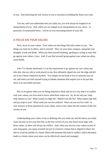of you. And unlocking the real version of you is essential to building the future you want.

You see, until you understand who you really are, you will *always* be trapped in an interpretation of you. And, while you are trapped in an interpretation of you, stress - in particular *circumstantial* stress - will be an ever-increasing feature of your life.

#### **A FOCUS ON YOUR VALUES**

Next, focus on your values. Your values are the things that truly matter to you. The things you look for in others, and in yourself. They are your inner compass, and guide your thoughts, words and deeds. When you find yourself thinking, speaking or acting in ways that go against your values, it jars. And, if you find yourself going against your values too often, stress builds.

Like I've already mentioned, it was the requirement to go against my core values day after day, that my role at work placed on me, that ultimately tipped me over the edge and led me to my Cheese Sandwich Incident. You simply are not built to live as someone you are not, and when you find yourself trying to inhabit situations that require you to do just that, stress is an inevitable outcome.

But, to recognise when you are being required to think and act in a way that is in conflict with your values, you first need to know what those values are. So, let me ask you: what truly matters to you? What would you fight for? Maybe even die for? What makes rage boil and joy erupt in you? What could you not live without? What can you not live with? In your answers to those questions lie your values, and in your values lies the essence of the real version of you.

Understanding your values is key to defining who you really are and the future you really want, because to live your best life, as the best version of you, that future must align with those values, or there will always be conflict. And, when you uncover your values as part of your long game, you equip yourself not just to construct a future that is aligned to them, but also to avoid the pitfalls of a future filled with elements that lead to conflict; which ultimately leads to a future where your stress can be effectively tamed and managed.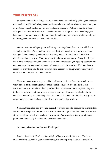#### **YOUR PERFECT DAY**

So now you know those things that make your heart soar (and sink), where your strengths (and weaknesses) lie, and what you are passionate about, as well as what truly matters to you in life (your values), the fun part of your long game can start. It's time to build a picture of what your best life - a life where you spend more time on things you love than things you hate, pursue your passions, play to your strengths and leave your weaknesses to one side, and that is aligned to your values - actually looks like.

I do this exercise with pretty much all of my coaching clients, because it establishes a vision for your life. When you know what your best life looks like, you know where you want your life to end up - you know the direction you want to travel in, and what that direction needs to give you. You give yourself a platform for certainty. Every decision you make has a reference point, and you have a rationale for accepting or rejecting opportunities: does saying yes (or saying no) help you or hinder you to build your best life? You have a reason for everything you do, and when you have a reason for doing what you do, you cut stress down to size, and become its master.

There are many ways to approach this, but I have a particular favourite, which, in my view, helps to take something almost unfathomable - your best *life* - and distil it into something that you can take hold of - your best *day*. If you could live your perfect  $day - a$ 24-hour period where nothing was out of whack, and everything was the absolute best it could be - everything you could hope for – what would that day look like? No reality checks, no yes buts, just a simple visualisation of what that perfect day would be.

You see, that perfect day gives you a snapshot of your best life, because the elements that feature in that single 24-hour period will also be a feature of your best life. And because it is simply a 24-hour period, you can hold it in your mind's eye, and use it as your reference point much more easily than the vast expanse of a whole life.

So, go on, what does that day look like for you?

Don't rationalise it. Don't see it as a flight of fancy or wishful thinking. This is not about confining yourself to your present reality, it's about opening the door to possibility.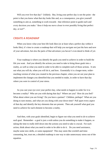Will you ever live that day? Unlikely. But, living your perfect day is not the point - the point is that you know what that day looks like and, as a consequence, you give yourself something to aim at, something to work towards - that reference point to guide each and every decision you make: "does it help me move closer to ever possibly living that perfect day, or not?".

#### **CREATE A ROADMAP**

When you know what your best life look likes (or at least what a perfect day within it looks like), it's time to create a roadmap that will help you navigate not just the here and now of your adventure, but also the parts of that adventure you haven't even dared to think of yet.

Your roadmap is where you identify the goals you need to achieve in order to build the life you want. And you identify the actions you need to take to bring those goals into a reality, as well as what you need in order to be able to complete each of those actions. It sets out what you will do, when you will do it, and how. Essentially it is a longer-term, widerreaching version of what you created in the previous chapter, when you set out your plan to implement the changes you identified that you needed to make, in order to have that day where you were in control of your stress.

As you cast your eye over your perfect day, what needs to happen in order for it to become a reality? Who are you with during that day? Where are you? How do you feel? What about where you are living? Do you have a partner? Children, perhaps? What are you doing to earn money, and what are you doing with your down time? Pull apart every aspect of that day and identify the key elements that are present. Then ask yourself what goal you need to achieve for each element to become a reality.

And then, with your goals identified, begin to figure out what you need to *do* to achieve each goal. Remember - a goal is just a wish unless you do something to make it happen, so taking the time to really drill down into the actions you need to take is crucial. For each action, think about what you need in order to be able to do it. Do you need assistance, maybe some new skills, or some equipment? This may seem like overkill and timeconsuming, but, trust me, a detailed roadmap is one way to take unnecessary stress out of the equation.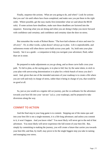Finally, sequence the actions. What are you going to do, and when? Look for actions that you can't do until others have been completed, and make sure you put them in the right order. Where possible, get the easy marks first (remember what we said about the 80/20 rule). If some actions have deadlines, make sure those deadlines are factored into the sequence. Knowing what you are doing and when you are doing it helps you move forward with confidence and certainty; and confidence and certainty slam the door on stress.

But remember the words of Robert Burns: "The best-laid schemes of mice and men Go oft awry". Or, in other words, a plan doesn't always go to plan. Life is unpredictable, and unforeseen events will often throw curve-balls across your path. So, hold onto your plan loosely. See it as a guide - a companion to help you navigate your adventure; fluid, rather than set in stone.

Be prepared to make adjustments as you go along, and as those curve balls cross your path. To fail to plan, as the saying goes, is to plan to fail; but, by the same token, to stick to your plan with unwavering determination is to plan for a whole bunch of stress you don't need. And, given that one of the intended outcomes of your roadmap is to create a life where you are well and truly in charge of stress, rather than it being in charge of you, that would be no good at all.

So, just as you would on a regular old car journey, put the co-ordinates for the adventure towards your best life into your 'sat-nav' (a.k.a. your roadmap), and be prepared to take diversions along the way.

#### **COMMIT TO ACTION**

And the final step in your long game is to commit. Stepping out of the status quo and into your best life is not a single-moment, it is a life-long adventure; and unless you commit to it, it won't happen. And you know what? You most likely will never get to the end of that adventure. You most likely will never experience the full extent of your best life. But, simply by committing to making the journey, you will create a future that carries you towards your best life; and that, by itself, may prove to be the single biggest step you take in taming and managing your stress.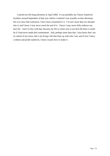I started my life-long adventure in April 2000. It was probably my Cheese Sandwich Incident, around September of that year, before I realised I was actually on that adventure, but ever since that realisation, I have been committed to it. I'm now more than two decades into it, and I know I may never reach the end of it. I know I may never fully embrace my best life. And I'm fine with that, because my life is closer now to my best life than it would be if I had never made that commitment. And, perhaps more than that, I also know that I am in control of my stress, that I am living a life that lines up with who I am; and if ever I fancy a cheese and pickle sandwich, I know exactly how to make it.